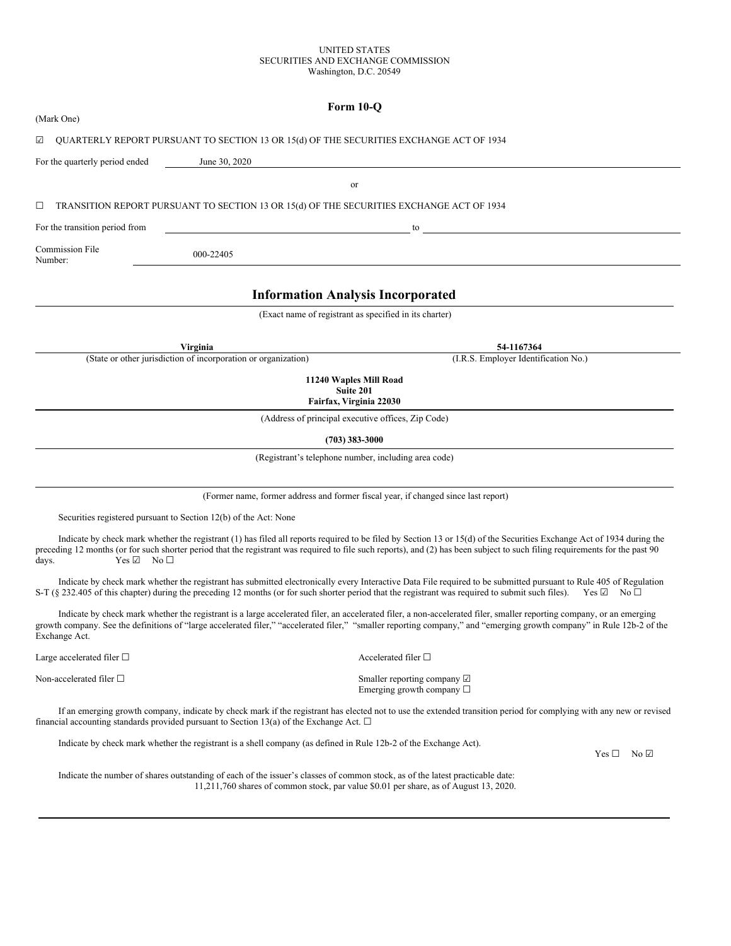## UNITED STATES SECURITIES AND EXCHANGE COMMISSION Washington, D.C. 20549

|                                               |                                                                                                                  | Form 10-Q                                                                                                                                                                                                                                                                                                                                             |
|-----------------------------------------------|------------------------------------------------------------------------------------------------------------------|-------------------------------------------------------------------------------------------------------------------------------------------------------------------------------------------------------------------------------------------------------------------------------------------------------------------------------------------------------|
| (Mark One)                                    |                                                                                                                  |                                                                                                                                                                                                                                                                                                                                                       |
| ☑                                             | QUARTERLY REPORT PURSUANT TO SECTION 13 OR 15(d) OF THE SECURITIES EXCHANGE ACT OF 1934                          |                                                                                                                                                                                                                                                                                                                                                       |
| For the quarterly period ended                | June 30, 2020                                                                                                    |                                                                                                                                                                                                                                                                                                                                                       |
|                                               |                                                                                                                  | or                                                                                                                                                                                                                                                                                                                                                    |
| □                                             | TRANSITION REPORT PURSUANT TO SECTION 13 OR 15(d) OF THE SECURITIES EXCHANGE ACT OF 1934                         |                                                                                                                                                                                                                                                                                                                                                       |
| For the transition period from                |                                                                                                                  | to                                                                                                                                                                                                                                                                                                                                                    |
| Commission File<br>Number:                    | 000-22405                                                                                                        |                                                                                                                                                                                                                                                                                                                                                       |
|                                               |                                                                                                                  | <b>Information Analysis Incorporated</b>                                                                                                                                                                                                                                                                                                              |
|                                               |                                                                                                                  | (Exact name of registrant as specified in its charter)                                                                                                                                                                                                                                                                                                |
|                                               | Virginia                                                                                                         | 54-1167364                                                                                                                                                                                                                                                                                                                                            |
|                                               | (State or other jurisdiction of incorporation or organization)                                                   | (I.R.S. Employer Identification No.)                                                                                                                                                                                                                                                                                                                  |
|                                               |                                                                                                                  | 11240 Waples Mill Road<br>Suite 201<br>Fairfax, Virginia 22030                                                                                                                                                                                                                                                                                        |
|                                               |                                                                                                                  | (Address of principal executive offices, Zip Code)                                                                                                                                                                                                                                                                                                    |
|                                               |                                                                                                                  | $(703)$ 383-3000                                                                                                                                                                                                                                                                                                                                      |
|                                               |                                                                                                                  | (Registrant's telephone number, including area code)                                                                                                                                                                                                                                                                                                  |
|                                               |                                                                                                                  | (Former name, former address and former fiscal year, if changed since last report)                                                                                                                                                                                                                                                                    |
|                                               | Securities registered pursuant to Section 12(b) of the Act: None                                                 |                                                                                                                                                                                                                                                                                                                                                       |
| $Yes \ \n\mathbb{Z} \quad No \ \Box$<br>days. |                                                                                                                  | Indicate by check mark whether the registrant (1) has filed all reports required to be filed by Section 13 or 15(d) of the Securities Exchange Act of 1934 during the<br>preceding 12 months (or for such shorter period that the registrant was required to file such reports), and (2) has been subject to such filing requirements for the past 90 |
|                                               |                                                                                                                  | Indicate by check mark whether the registrant has submitted electronically every Interactive Data File required to be submitted pursuant to Rule 405 of Regulation<br>S-T (§ 232.405 of this chapter) during the preceding 12 months (or for such shorter period that the registrant was required to submit such files).<br>$Yes \Box$ No $\Box$      |
| Exchange Act.                                 |                                                                                                                  | Indicate by check mark whether the registrant is a large accelerated filer, an accelerated filer, a non-accelerated filer, smaller reporting company, or an emerging<br>growth company. See the definitions of "large accelerated filer," "accelerated filer," "smaller reporting company," and "emerging growth company" in Rule 12b-2 of the        |
| Large accelerated filer $\Box$                |                                                                                                                  | Accelerated filer $\Box$                                                                                                                                                                                                                                                                                                                              |
| Non-accelerated filer $\square$               |                                                                                                                  | Smaller reporting company $\boxtimes$<br>Emerging growth company $\Box$                                                                                                                                                                                                                                                                               |
|                                               | financial accounting standards provided pursuant to Section 13(a) of the Exchange Act. $\Box$                    | If an emerging growth company, indicate by check mark if the registrant has elected not to use the extended transition period for complying with any new or revised                                                                                                                                                                                   |
|                                               | Indicate by check mark whether the registrant is a shell company (as defined in Rule 12b-2 of the Exchange Act). |                                                                                                                                                                                                                                                                                                                                                       |

 $Yes \Box No \Box$ 

Indicate the number of shares outstanding of each of the issuer's classes of common stock, as of the latest practicable date: 11,211,760 shares of common stock, par value \$0.01 per share, as of August 13, 2020.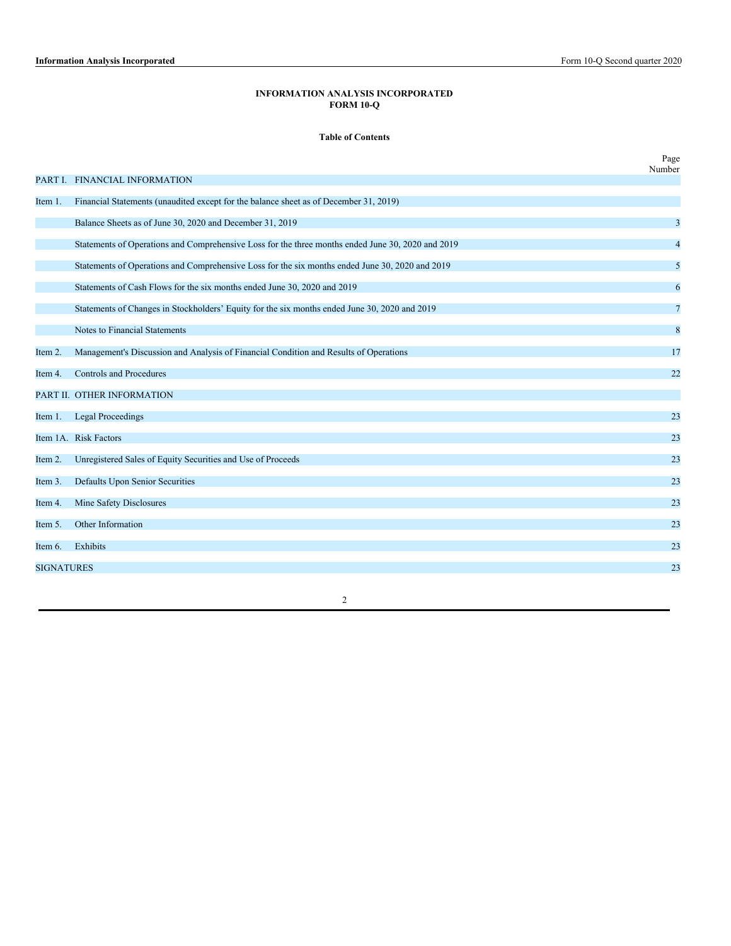# **INFORMATION ANALYSIS INCORPORATED FORM 10-Q**

## **Table of Contents**

|                   |                                                                                                   | Page<br>Number |
|-------------------|---------------------------------------------------------------------------------------------------|----------------|
|                   | PART I. FINANCIAL INFORMATION                                                                     |                |
| Item 1.           | Financial Statements (unaudited except for the balance sheet as of December 31, 2019)             |                |
|                   | Balance Sheets as of June 30, 2020 and December 31, 2019                                          | 3              |
|                   | Statements of Operations and Comprehensive Loss for the three months ended June 30, 2020 and 2019 | $\overline{4}$ |
|                   | Statements of Operations and Comprehensive Loss for the six months ended June 30, 2020 and 2019   | 5              |
|                   | Statements of Cash Flows for the six months ended June 30, 2020 and 2019                          | 6              |
|                   | Statements of Changes in Stockholders' Equity for the six months ended June 30, 2020 and 2019     | 7              |
|                   | Notes to Financial Statements                                                                     | $\bf 8$        |
| Item 2.           | Management's Discussion and Analysis of Financial Condition and Results of Operations             | 17             |
| Item 4.           | <b>Controls and Procedures</b>                                                                    | 22             |
|                   | PART II. OTHER INFORMATION                                                                        |                |
| Item 1.           | <b>Legal Proceedings</b>                                                                          | 23             |
|                   | Item 1A. Risk Factors                                                                             | 23             |
| Item 2.           | Unregistered Sales of Equity Securities and Use of Proceeds                                       | 23             |
| Item 3.           | Defaults Upon Senior Securities                                                                   | 23             |
| Item 4.           | Mine Safety Disclosures                                                                           | 23             |
| Item 5.           | Other Information                                                                                 | 23             |
| Item 6.           | Exhibits                                                                                          | 23             |
| <b>SIGNATURES</b> |                                                                                                   | 23             |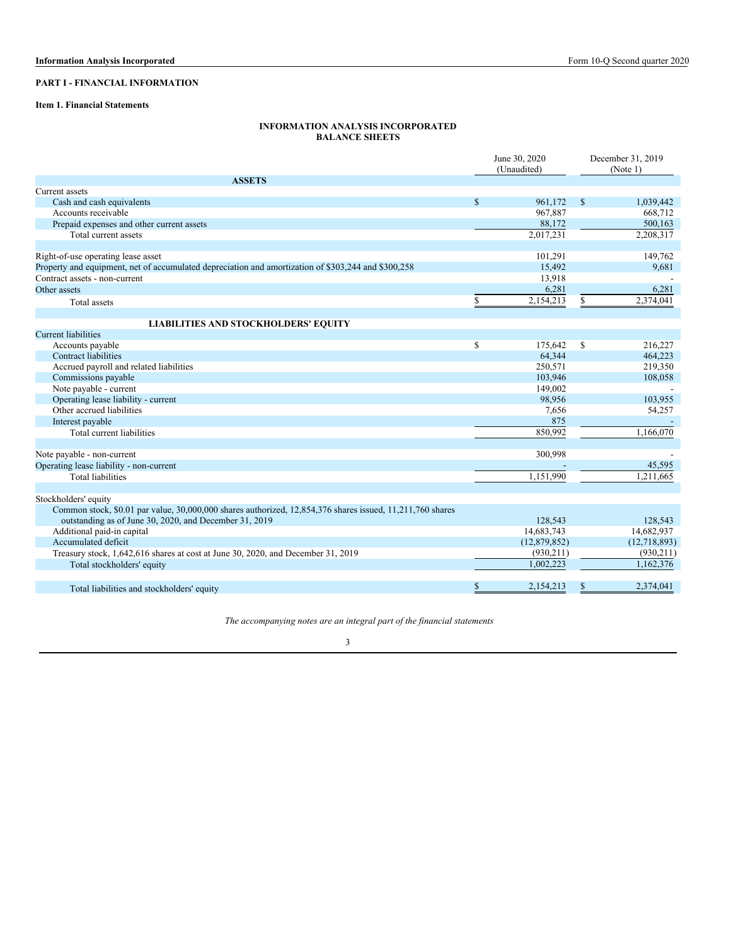# **PART I - FINANCIAL INFORMATION**

## **Item 1. Financial Statements**

## **INFORMATION ANALYSIS INCORPORATED BALANCE SHEETS**

|                                                                                                                                                                     |              | June 30, 2020<br>(Unaudited) |               | December 31, 2019 |
|---------------------------------------------------------------------------------------------------------------------------------------------------------------------|--------------|------------------------------|---------------|-------------------|
| <b>ASSETS</b>                                                                                                                                                       |              |                              |               | (Note 1)          |
| Current assets                                                                                                                                                      |              |                              |               |                   |
| Cash and cash equivalents                                                                                                                                           | $\mathbb{S}$ | 961,172                      | <sup>\$</sup> | 1,039,442         |
| Accounts receivable                                                                                                                                                 |              | 967,887                      |               | 668,712           |
|                                                                                                                                                                     |              | 88,172                       |               | 500,163           |
| Prepaid expenses and other current assets<br>Total current assets                                                                                                   |              | 2,017,231                    |               | 2,208,317         |
|                                                                                                                                                                     |              |                              |               |                   |
| Right-of-use operating lease asset                                                                                                                                  |              | 101,291                      |               | 149,762           |
| Property and equipment, net of accumulated depreciation and amortization of \$303,244 and \$300,258                                                                 |              | 15,492                       |               | 9,681             |
| Contract assets - non-current                                                                                                                                       |              | 13,918                       |               |                   |
| Other assets                                                                                                                                                        |              | 6,281                        |               | 6,281             |
| Total assets                                                                                                                                                        | \$           | 2,154,213                    | \$.           | 2,374,041         |
|                                                                                                                                                                     |              |                              |               |                   |
| <b>LIABILITIES AND STOCKHOLDERS' EQUITY</b><br><b>Current liabilities</b>                                                                                           |              |                              |               |                   |
| Accounts payable                                                                                                                                                    | \$           | 175,642                      | \$            | 216,227           |
| <b>Contract liabilities</b>                                                                                                                                         |              | 64.344                       |               | 464,223           |
| Accrued payroll and related liabilities                                                                                                                             |              | 250.571                      |               | 219,350           |
| Commissions payable                                                                                                                                                 |              | 103,946                      |               | 108,058           |
| Note payable - current                                                                                                                                              |              | 149,002                      |               |                   |
| Operating lease liability - current                                                                                                                                 |              | 98,956                       |               | 103,955           |
| Other accrued liabilities                                                                                                                                           |              |                              |               | 54,257            |
|                                                                                                                                                                     |              | 7,656<br>875                 |               |                   |
| Interest payable                                                                                                                                                    |              |                              |               |                   |
| Total current liabilities                                                                                                                                           |              | 850,992                      |               | 1,166,070         |
| Note payable - non-current                                                                                                                                          |              | 300,998                      |               |                   |
| Operating lease liability - non-current                                                                                                                             |              |                              |               | 45,595            |
| <b>Total liabilities</b>                                                                                                                                            |              | 1,151,990                    |               | 1.211.665         |
|                                                                                                                                                                     |              |                              |               |                   |
| Stockholders' equity                                                                                                                                                |              |                              |               |                   |
| Common stock, \$0.01 par value, 30,000,000 shares authorized, 12,854,376 shares issued, 11,211,760 shares<br>outstanding as of June 30, 2020, and December 31, 2019 |              | 128,543                      |               | 128,543           |
| Additional paid-in capital                                                                                                                                          |              | 14,683,743                   |               | 14,682,937        |
| Accumulated deficit                                                                                                                                                 |              | (12,879,852)                 |               | (12,718,893)      |
| Treasury stock, 1,642,616 shares at cost at June 30, 2020, and December 31, 2019                                                                                    |              | (930, 211)                   |               | (930, 211)        |
| Total stockholders' equity                                                                                                                                          |              | 1,002,223                    |               | 1,162,376         |
|                                                                                                                                                                     |              |                              |               |                   |
| Total liabilities and stockholders' equity                                                                                                                          | \$           | 2,154,213                    | <sup>\$</sup> | 2,374,041         |

*The accompanying notes are an integral part of the financial statements*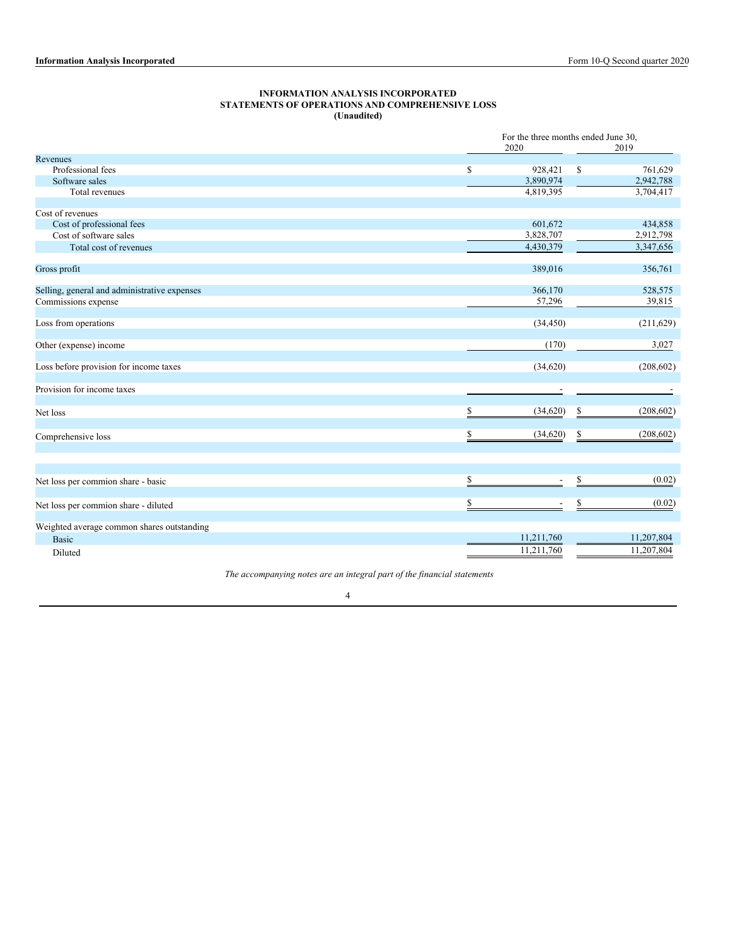## **INFORMATION ANALYSIS INCORPORATED STATEMENTS OF OPERATIONS AND COMPREHENSIVE LOSS (Unaudited)**

|                                              |    |            | For the three months ended June 30, |            |  |  |
|----------------------------------------------|----|------------|-------------------------------------|------------|--|--|
|                                              |    | 2020       |                                     | 2019       |  |  |
| Revenues                                     |    |            |                                     |            |  |  |
| Professional fees                            | \$ | 928,421    | \$                                  | 761,629    |  |  |
| Software sales                               |    | 3,890,974  |                                     | 2,942,788  |  |  |
| Total revenues                               |    | 4,819,395  |                                     | 3,704,417  |  |  |
| Cost of revenues                             |    |            |                                     |            |  |  |
| Cost of professional fees                    |    | 601,672    |                                     | 434,858    |  |  |
| Cost of software sales                       |    | 3,828,707  |                                     | 2,912,798  |  |  |
| Total cost of revenues                       |    | 4,430,379  |                                     | 3,347,656  |  |  |
|                                              |    |            |                                     |            |  |  |
| Gross profit                                 |    | 389,016    |                                     | 356,761    |  |  |
| Selling, general and administrative expenses |    | 366,170    |                                     | 528,575    |  |  |
| Commissions expense                          |    | 57,296     |                                     | 39,815     |  |  |
|                                              |    |            |                                     |            |  |  |
| Loss from operations                         |    | (34, 450)  |                                     | (211, 629) |  |  |
| Other (expense) income                       |    | (170)      |                                     | 3,027      |  |  |
| Loss before provision for income taxes       |    | (34,620)   |                                     | (208, 602) |  |  |
| Provision for income taxes                   |    |            |                                     |            |  |  |
|                                              |    |            |                                     |            |  |  |
| Net loss                                     | S  | (34,620)   | \$                                  | (208, 602) |  |  |
| Comprehensive loss                           | \$ | (34, 620)  | \$                                  | (208, 602) |  |  |
|                                              |    |            |                                     |            |  |  |
| Net loss per commion share - basic           | \$ |            | \$                                  | (0.02)     |  |  |
|                                              |    |            |                                     |            |  |  |
| Net loss per commion share - diluted         | \$ |            | S                                   | (0.02)     |  |  |
| Weighted average common shares outstanding   |    |            |                                     |            |  |  |
| <b>Basic</b>                                 |    | 11,211,760 |                                     | 11,207,804 |  |  |
| Diluted                                      |    | 11,211,760 |                                     | 11,207,804 |  |  |

*The accompanying notes are an integral part of the financial statements*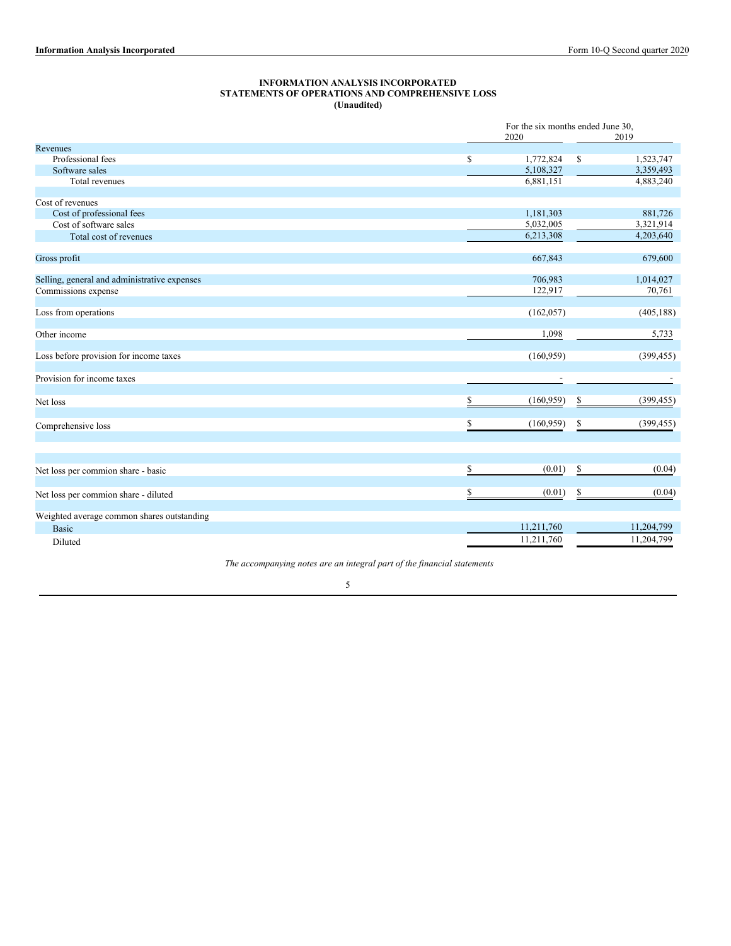#### **INFORMATION ANALYSIS INCORPORATED STATEMENTS OF OPERATIONS AND COMPREHENSIVE LOSS (Unaudited)**

|                                              |                  | For the six months ended June 30, |    |            |  |
|----------------------------------------------|------------------|-----------------------------------|----|------------|--|
|                                              |                  | 2020                              |    | 2019       |  |
| Revenues                                     |                  |                                   |    |            |  |
| Professional fees                            | \$               | 1,772,824                         | \$ | 1,523,747  |  |
| Software sales                               |                  | 5,108,327                         |    | 3,359,493  |  |
| Total revenues                               |                  | 6,881,151                         |    | 4,883,240  |  |
|                                              |                  |                                   |    |            |  |
| Cost of revenues                             |                  |                                   |    |            |  |
| Cost of professional fees                    |                  | 1,181,303                         |    | 881,726    |  |
| Cost of software sales                       |                  | 5,032,005                         |    | 3,321,914  |  |
| Total cost of revenues                       |                  | 6,213,308                         |    | 4,203,640  |  |
| Gross profit                                 |                  | 667,843                           |    | 679,600    |  |
| Selling, general and administrative expenses |                  | 706,983                           |    | 1,014,027  |  |
|                                              |                  | 122,917                           |    | 70,761     |  |
| Commissions expense                          |                  |                                   |    |            |  |
| Loss from operations                         |                  | (162, 057)                        |    | (405, 188) |  |
| Other income                                 |                  | 1,098                             |    | 5,733      |  |
| Loss before provision for income taxes       |                  | (160, 959)                        |    | (399, 455) |  |
| Provision for income taxes                   |                  |                                   |    |            |  |
|                                              |                  |                                   |    |            |  |
| Net loss                                     | S                | (160, 959)                        | S  | (399, 455) |  |
| Comprehensive loss                           | \$               | (160, 959)                        | \$ | (399, 455) |  |
|                                              |                  |                                   |    |            |  |
| Net loss per commion share - basic           | $\underline{\$}$ | (0.01)                            | \$ | (0.04)     |  |
|                                              |                  |                                   |    |            |  |
| Net loss per commion share - diluted         | \$               | (0.01)                            | \$ | (0.04)     |  |
| Weighted average common shares outstanding   |                  |                                   |    |            |  |
| Basic                                        |                  | 11,211,760                        |    | 11,204,799 |  |
| Diluted                                      |                  | 11,211,760                        |    | 11,204,799 |  |
|                                              |                  |                                   |    |            |  |

*The accompanying notes are an integral part of the financial statements*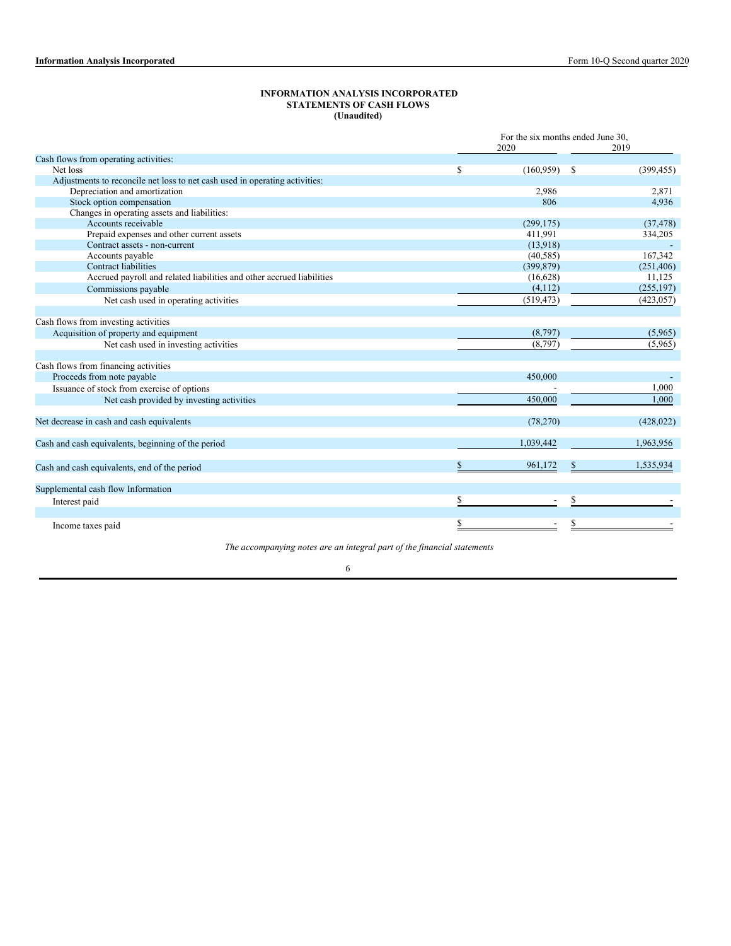### **INFORMATION ANALYSIS INCORPORATED STATEMENTS OF CASH FLOWS (Unaudited)**

|                                                                             | For the six months ended June 30. |   |            |  |  |
|-----------------------------------------------------------------------------|-----------------------------------|---|------------|--|--|
|                                                                             | 2020                              |   | 2019       |  |  |
| Cash flows from operating activities:                                       |                                   |   |            |  |  |
| Net loss                                                                    | \$<br>(160, 959)                  | S | (399, 455) |  |  |
| Adjustments to reconcile net loss to net cash used in operating activities: |                                   |   |            |  |  |
| Depreciation and amortization                                               | 2,986                             |   | 2,871      |  |  |
| Stock option compensation                                                   | 806                               |   | 4,936      |  |  |
| Changes in operating assets and liabilities:                                |                                   |   |            |  |  |
| Accounts receivable                                                         | (299, 175)                        |   | (37, 478)  |  |  |
| Prepaid expenses and other current assets                                   | 411,991                           |   | 334,205    |  |  |
| Contract assets - non-current                                               | (13,918)                          |   |            |  |  |
| Accounts payable                                                            | (40, 585)                         |   | 167,342    |  |  |
| <b>Contract liabilities</b>                                                 | (399, 879)                        |   | (251, 406) |  |  |
| Accrued payroll and related liabilities and other accrued liabilities       | (16,628)                          |   | 11,125     |  |  |
| Commissions payable                                                         | (4, 112)                          |   | (255, 197) |  |  |
| Net cash used in operating activities                                       | (519, 473)                        |   | (423, 057) |  |  |
|                                                                             |                                   |   |            |  |  |
| Cash flows from investing activities                                        |                                   |   |            |  |  |
| Acquisition of property and equipment                                       | (8,797)                           |   | (5,965)    |  |  |
| Net cash used in investing activities                                       | (8,797)                           |   | (5,965)    |  |  |
|                                                                             |                                   |   |            |  |  |
| Cash flows from financing activities                                        |                                   |   |            |  |  |
| Proceeds from note payable                                                  | 450,000                           |   |            |  |  |
| Issuance of stock from exercise of options                                  |                                   |   | 1,000      |  |  |
| Net cash provided by investing activities                                   | 450,000                           |   | 1,000      |  |  |
|                                                                             |                                   |   |            |  |  |
| Net decrease in cash and cash equivalents                                   | (78, 270)                         |   | (428, 022) |  |  |
|                                                                             |                                   |   |            |  |  |
| Cash and cash equivalents, beginning of the period                          | 1,039,442                         |   | 1,963,956  |  |  |
|                                                                             |                                   |   |            |  |  |
| Cash and cash equivalents, end of the period                                | 961,172                           | S | 1,535,934  |  |  |
|                                                                             |                                   |   |            |  |  |
| Supplemental cash flow Information                                          |                                   |   |            |  |  |
|                                                                             | \$                                | S |            |  |  |
| Interest paid                                                               |                                   |   |            |  |  |
|                                                                             |                                   |   |            |  |  |
| Income taxes paid                                                           |                                   |   |            |  |  |

*The accompanying notes are an integral part of the financial statements*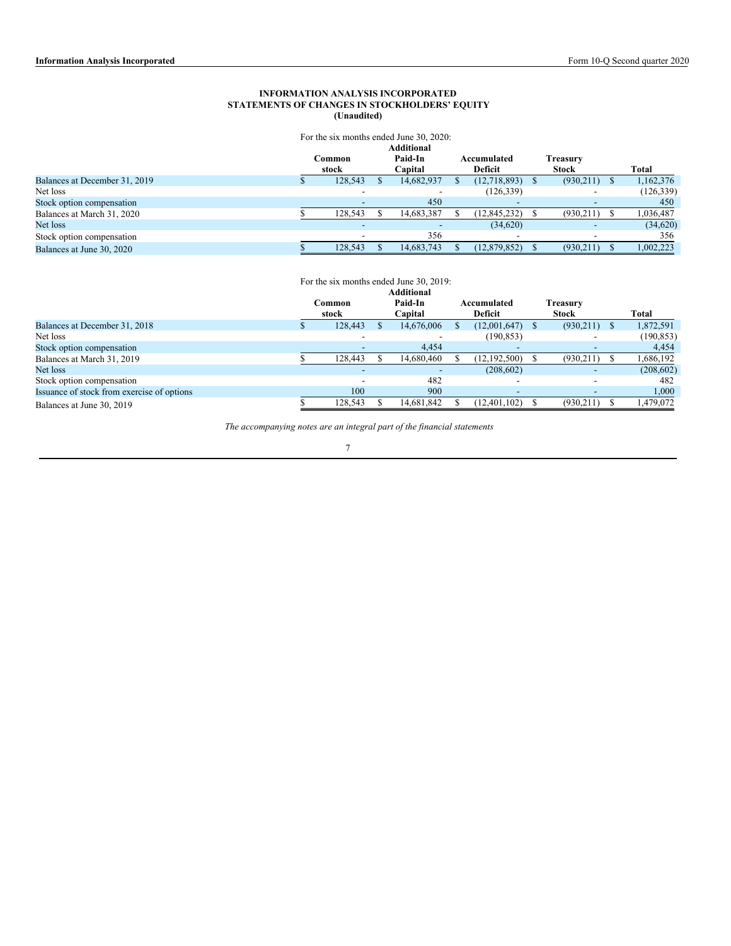## **INFORMATION ANALYSIS INCORPORATED STATEMENTS OF CHANGES IN STOCKHOLDERS' EQUITY (Unaudited)**

|                               |         | For the six months ended June 30, 2020: |                |              |            |
|-------------------------------|---------|-----------------------------------------|----------------|--------------|------------|
|                               |         | Additional                              |                |              |            |
|                               | Common  | Paid-In                                 | Accumulated    | Treasury     |            |
|                               | stock   | Capital                                 | Deficit        | <b>Stock</b> | Total      |
| Balances at December 31, 2019 | 128,543 | 14,682,937                              | (12,718,893)   | (930,211)    | 1,162,376  |
| Net loss                      |         |                                         | (126, 339)     |              | (126, 339) |
| Stock option compensation     |         | 450                                     |                |              | 450        |
| Balances at March 31, 2020    | 128,543 | 14,683,387                              | (12, 845, 232) | (930, 211)   | 1,036,487  |
| Net loss                      |         |                                         | (34,620)       |              | (34, 620)  |
| Stock option compensation     |         | 356                                     |                |              | 356        |
| Balances at June 30, 2020     | 128,543 | 14.683.743                              | (12, 879, 852) | (930,211)    | 1,002,223  |

# For the six months ended June 30, 2019:

|                                            |         | <b>Additional</b> |                          |              |            |
|--------------------------------------------|---------|-------------------|--------------------------|--------------|------------|
|                                            | Common  | Paid-In           | Accumulated              | Treasurv     |            |
|                                            | stock   | Capital           | <b>Deficit</b>           | <b>Stock</b> | Total      |
| Balances at December 31, 2018              | 128,443 | 14,676,006        | (12,001,647)             | (930,211)    | 1,872,591  |
| Net loss                                   |         |                   | (190, 853)               |              | (190, 853) |
| Stock option compensation                  |         | 4,454             | $\overline{\phantom{a}}$ |              | 4,454      |
| Balances at March 31, 2019                 | 128,443 | 14.680.460        | (12, 192, 500)           | (930,211)    | .686,192   |
| Net loss                                   |         |                   | (208, 602)               |              | (208, 602) |
| Stock option compensation                  |         | 482               |                          |              | 482        |
| Issuance of stock from exercise of options | 100     | 900               |                          |              | 1,000      |
| Balances at June 30, 2019                  | 128,543 | 14,681,842        | (12, 401, 102)           | (930,211)    | 1,479,072  |

*The accompanying notes are an integral part of the financial statements*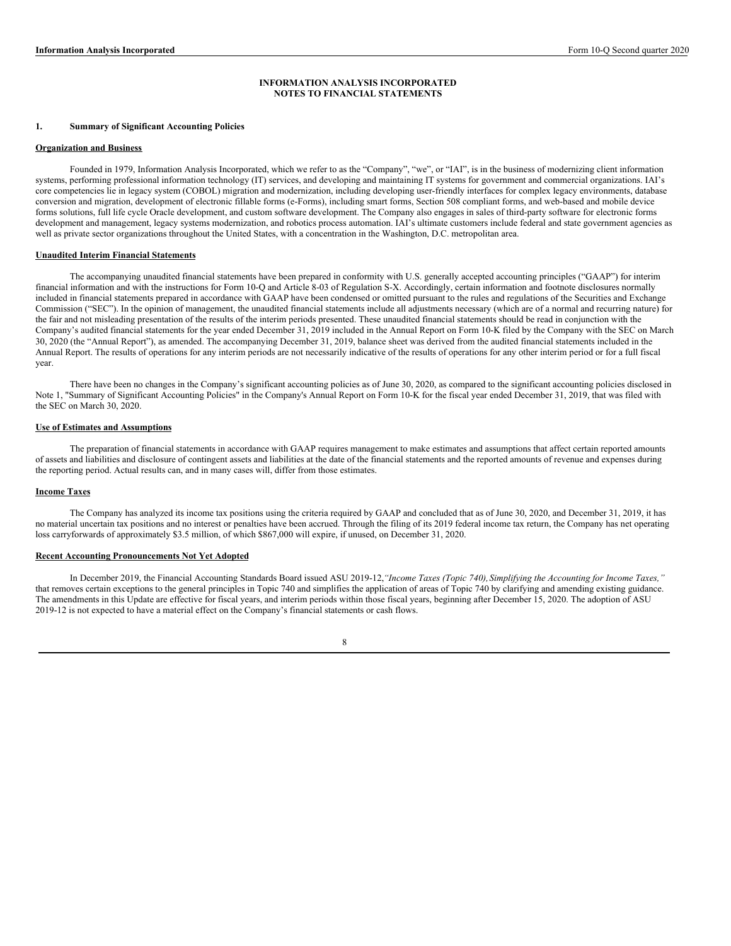#### **INFORMATION ANALYSIS INCORPORATED NOTES TO FINANCIAL STATEMENTS**

## **1. Summary of Significant Accounting Policies**

#### **Organization and Business**

Founded in 1979, Information Analysis Incorporated, which we refer to as the "Company", "we", or "IAI", is in the business of modernizing client information systems, performing professional information technology (IT) services, and developing and maintaining IT systems for government and commercial organizations. IAI's core competencies lie in legacy system (COBOL) migration and modernization, including developing user-friendly interfaces for complex legacy environments, database conversion and migration, development of electronic fillable forms (e-Forms), including smart forms, Section 508 compliant forms, and web-based and mobile device forms solutions, full life cycle Oracle development, and custom software development. The Company also engages in sales of third-party software for electronic forms development and management, legacy systems modernization, and robotics process automation. IAI's ultimate customers include federal and state government agencies as well as private sector organizations throughout the United States, with a concentration in the Washington, D.C. metropolitan area.

## **Unaudited Interim Financial Statements**

The accompanying unaudited financial statements have been prepared in conformity with U.S. generally accepted accounting principles ("GAAP") for interim financial information and with the instructions for Form 10-Q and Article 8-03 of Regulation S-X. Accordingly, certain information and footnote disclosures normally included in financial statements prepared in accordance with GAAP have been condensed or omitted pursuant to the rules and regulations of the Securities and Exchange Commission ("SEC"). In the opinion of management, the unaudited financial statements include all adjustments necessary (which are of a normal and recurring nature) for the fair and not misleading presentation of the results of the interim periods presented. These unaudited financial statements should be read in conjunction with the Company's audited financial statements for the year ended December 31, 2019 included in the Annual Report on Form 10-K filed by the Company with the SEC on March 30, 2020 (the "Annual Report"), as amended. The accompanying December 31, 2019, balance sheet was derived from the audited financial statements included in the Annual Report. The results of operations for any interim periods are not necessarily indicative of the results of operations for any other interim period or for a full fiscal year.

There have been no changes in the Company's significant accounting policies as of June 30, 2020, as compared to the significant accounting policies disclosed in Note 1, "Summary of Significant Accounting Policies" in the Company's Annual Report on Form 10-K for the fiscal year ended December 31, 2019, that was filed with the SEC on March 30, 2020.

## **Use of Estimates and Assumptions**

The preparation of financial statements in accordance with GAAP requires management to make estimates and assumptions that affect certain reported amounts of assets and liabilities and disclosure of contingent assets and liabilities at the date of the financial statements and the reported amounts of revenue and expenses during the reporting period. Actual results can, and in many cases will, differ from those estimates.

## **Income Taxes**

The Company has analyzed its income tax positions using the criteria required by GAAP and concluded that as of June 30, 2020, and December 31, 2019, it has no material uncertain tax positions and no interest or penalties have been accrued. Through the filing of its 2019 federal income tax return, the Company has net operating loss carryforwards of approximately \$3.5 million, of which \$867,000 will expire, if unused, on December 31, 2020.

## **Recent Accounting Pronouncements Not Yet Adopted**

In December 2019, the Financial Accounting Standards Board issued ASU 2019-12,*"Income Taxes (Topic 740),Simplifying the Accounting for Income Taxes,"* that removes certain exceptions to the general principles in Topic 740 and simplifies the application of areas of Topic 740 by clarifying and amending existing guidance. The amendments in this Update are effective for fiscal years, and interim periods within those fiscal years, beginning after December 15, 2020. The adoption of ASU 2019-12 is not expected to have a material effect on the Company's financial statements or cash flows.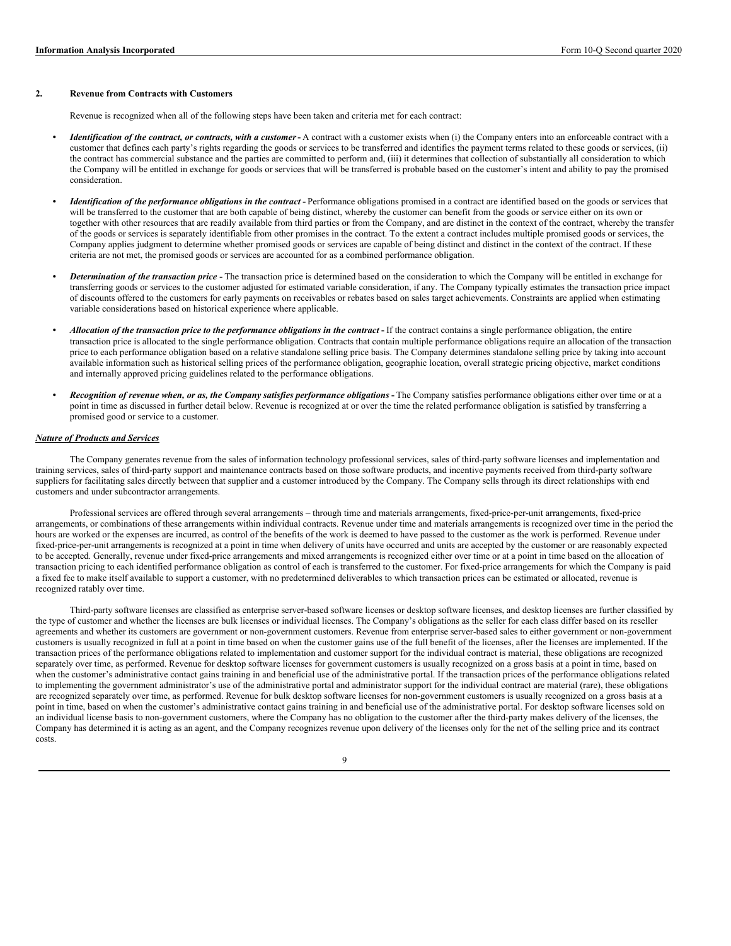### **2. Revenue from Contracts with Customers**

Revenue is recognized when all of the following steps have been taken and criteria met for each contract:

- *Identification of the contract, or contracts, with a customer* A contract with a customer exists when (i) the Company enters into an enforceable contract with a customer that defines each party's rights regarding the goods or services to be transferred and identifies the payment terms related to these goods or services, (ii) the contract has commercial substance and the parties are committed to perform and, (iii) it determines that collection of substantially all consideration to which the Company will be entitled in exchange for goods or services that will be transferred is probable based on the customer's intent and ability to pay the promised consideration.
- Identification of the performance obligations in the contract Performance obligations promised in a contract are identified based on the goods or services that will be transferred to the customer that are both capable of being distinct, whereby the customer can benefit from the goods or service either on its own or together with other resources that are readily available from third parties or from the Company, and are distinct in the context of the contract, whereby the transfer of the goods or services is separately identifiable from other promises in the contract. To the extent a contract includes multiple promised goods or services, the Company applies judgment to determine whether promised goods or services are capable of being distinct and distinct in the context of the contract. If these criteria are not met, the promised goods or services are accounted for as a combined performance obligation.
- *• Determination of the transaction price* **-** The transaction price is determined based on the consideration to which the Company will be entitled in exchange for transferring goods or services to the customer adjusted for estimated variable consideration, if any. The Company typically estimates the transaction price impact of discounts offered to the customers for early payments on receivables or rebates based on sales target achievements. Constraints are applied when estimating variable considerations based on historical experience where applicable.
- Allocation of the transaction price to the performance obligations in the contract If the contract contains a single performance obligation, the entire transaction price is allocated to the single performance obligation. Contracts that contain multiple performance obligations require an allocation of the transaction price to each performance obligation based on a relative standalone selling price basis. The Company determines standalone selling price by taking into account available information such as historical selling prices of the performance obligation, geographic location, overall strategic pricing objective, market conditions and internally approved pricing guidelines related to the performance obligations.
- Recognition of revenue when, or as, the Company satisfies performance obligations The Company satisfies performance obligations either over time or at a point in time as discussed in further detail below. Revenue is recognized at or over the time the related performance obligation is satisfied by transferring a promised good or service to a customer.

### *Nature of Products and Services*

The Company generates revenue from the sales of information technology professional services, sales of third-party software licenses and implementation and training services, sales of third-party support and maintenance contracts based on those software products, and incentive payments received from third-party software suppliers for facilitating sales directly between that supplier and a customer introduced by the Company. The Company sells through its direct relationships with end customers and under subcontractor arrangements.

Professional services are offered through several arrangements – through time and materials arrangements, fixed-price-per-unit arrangements, fixed-price arrangements, or combinations of these arrangements within individual contracts. Revenue under time and materials arrangements is recognized over time in the period the hours are worked or the expenses are incurred, as control of the benefits of the work is deemed to have passed to the customer as the work is performed. Revenue under fixed-price-per-unit arrangements is recognized at a point in time when delivery of units have occurred and units are accepted by the customer or are reasonably expected to be accepted. Generally, revenue under fixed-price arrangements and mixed arrangements is recognized either over time or at a point in time based on the allocation of transaction pricing to each identified performance obligation as control of each is transferred to the customer. For fixed-price arrangements for which the Company is paid a fixed fee to make itself available to support a customer, with no predetermined deliverables to which transaction prices can be estimated or allocated, revenue is recognized ratably over time.

Third-party software licenses are classified as enterprise server-based software licenses or desktop software licenses, and desktop licenses are further classified by the type of customer and whether the licenses are bulk licenses or individual licenses. The Company's obligations as the seller for each class differ based on its reseller agreements and whether its customers are government or non-government customers. Revenue from enterprise server-based sales to either government or non-government customers is usually recognized in full at a point in time based on when the customer gains use of the full benefit of the licenses, after the licenses are implemented. If the transaction prices of the performance obligations related to implementation and customer support for the individual contract is material, these obligations are recognized separately over time, as performed. Revenue for desktop software licenses for government customers is usually recognized on a gross basis at a point in time, based on when the customer's administrative contact gains training in and beneficial use of the administrative portal. If the transaction prices of the performance obligations related to implementing the government administrator's use of the administrative portal and administrator support for the individual contract are material (rare), these obligations are recognized separately over time, as performed. Revenue for bulk desktop software licenses for non-government customers is usually recognized on a gross basis at a point in time, based on when the customer's administrative contact gains training in and beneficial use of the administrative portal. For desktop software licenses sold on an individual license basis to non-government customers, where the Company has no obligation to the customer after the third-party makes delivery of the licenses, the Company has determined it is acting as an agent, and the Company recognizes revenue upon delivery of the licenses only for the net of the selling price and its contract costs.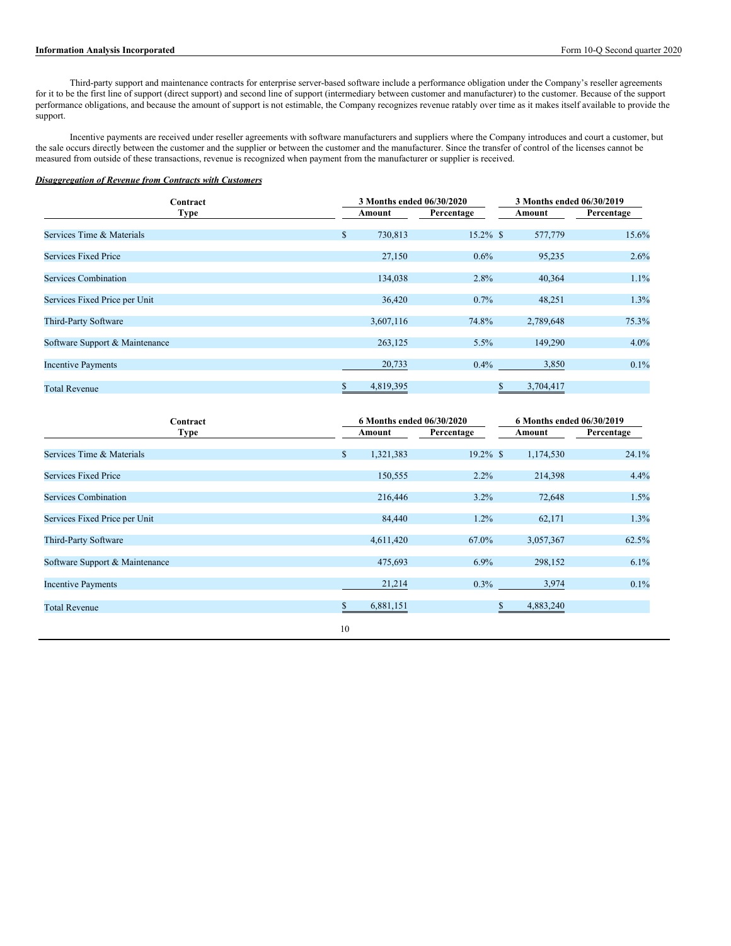## **Information Analysis Incorporated** Form 10-Q Second quarter 2020

Third-party support and maintenance contracts for enterprise server-based software include a performance obligation under the Company's reseller agreements for it to be the first line of support (direct support) and second line of support (intermediary between customer and manufacturer) to the customer. Because of the support performance obligations, and because the amount of support is not estimable, the Company recognizes revenue ratably over time as it makes itself available to provide the support.

Incentive payments are received under reseller agreements with software manufacturers and suppliers where the Company introduces and court a customer, but the sale occurs directly between the customer and the supplier or between the customer and the manufacturer. Since the transfer of control of the licenses cannot be measured from outside of these transactions, revenue is recognized when payment from the manufacturer or supplier is received.

## *Disaggregation of Revenue from Contracts with Customers*

| Contract                       |                         | 3 Months ended 06/30/2020 | 3 Months ended 06/30/2019 |            |  |  |  |
|--------------------------------|-------------------------|---------------------------|---------------------------|------------|--|--|--|
| <b>Type</b>                    | Amount                  | Percentage                | Amount                    | Percentage |  |  |  |
| Services Time & Materials      | $\mathbb{S}$<br>730,813 | $15.2\%$ \$               | 577,779                   | 15.6%      |  |  |  |
| <b>Services Fixed Price</b>    | 27,150                  | 0.6%                      | 95,235                    | 2.6%       |  |  |  |
| <b>Services Combination</b>    | 134,038                 | 2.8%                      | 40,364                    | 1.1%       |  |  |  |
| Services Fixed Price per Unit  | 36,420                  | 0.7%                      | 48,251                    | 1.3%       |  |  |  |
| Third-Party Software           | 3,607,116               | 74.8%                     | 2,789,648                 | 75.3%      |  |  |  |
| Software Support & Maintenance | 263,125                 | 5.5%                      | 149,290                   | 4.0%       |  |  |  |
| <b>Incentive Payments</b>      | 20,733                  | 0.4%                      | 3,850                     | 0.1%       |  |  |  |
| <b>Total Revenue</b>           | 4,819,395               |                           | 3,704,417                 |            |  |  |  |

| Contract                       | 6 Months ended 06/30/2020 |             | 6 Months ended 06/30/2019 |            |  |  |  |
|--------------------------------|---------------------------|-------------|---------------------------|------------|--|--|--|
| <b>Type</b>                    | Amount                    | Percentage  | Amount                    | Percentage |  |  |  |
| Services Time & Materials      | $\mathbb{S}$<br>1,321,383 | $19.2\%$ \$ | 1,174,530                 | 24.1%      |  |  |  |
| <b>Services Fixed Price</b>    | 150,555                   | $2.2\%$     | 214,398                   | 4.4%       |  |  |  |
| <b>Services Combination</b>    | 216,446                   | 3.2%        | 72,648                    | 1.5%       |  |  |  |
| Services Fixed Price per Unit  | 84,440                    | 1.2%        | 62,171                    | 1.3%       |  |  |  |
| Third-Party Software           | 4,611,420                 | 67.0%       | 3,057,367                 | 62.5%      |  |  |  |
| Software Support & Maintenance | 475,693                   | 6.9%        | 298,152                   | 6.1%       |  |  |  |
| <b>Incentive Payments</b>      | 21,214                    | $0.3\%$     | 3,974                     | 0.1%       |  |  |  |
| <b>Total Revenue</b>           | 6,881,151                 | S.          | 4,883,240                 |            |  |  |  |
|                                | 10                        |             |                           |            |  |  |  |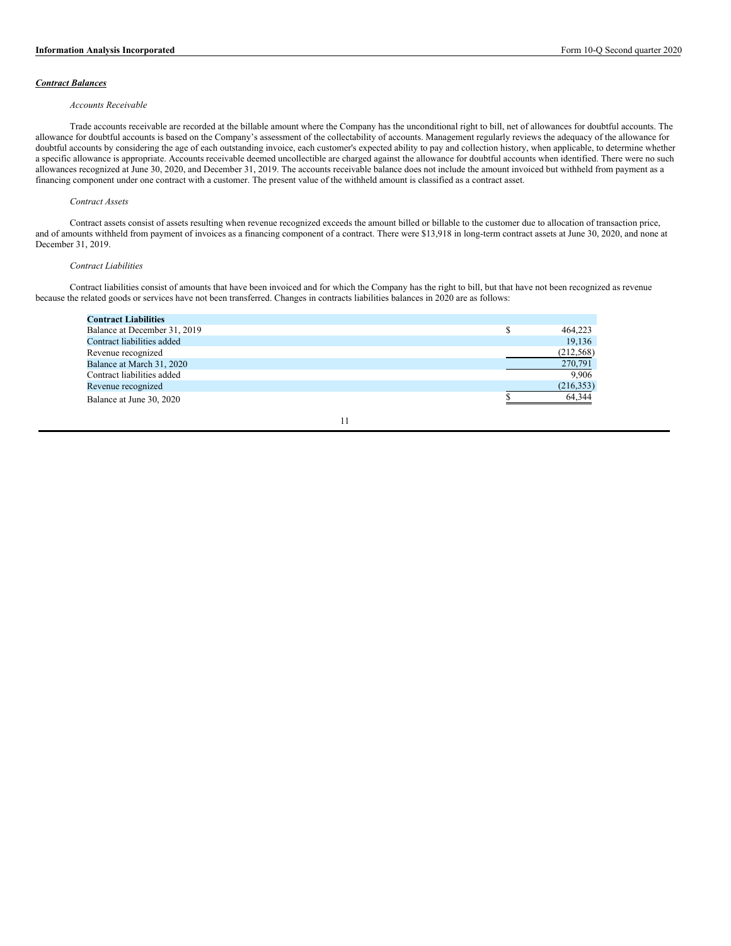## *Contract Balances*

#### *Accounts Receivable*

Trade accounts receivable are recorded at the billable amount where the Company has the unconditional right to bill, net of allowances for doubtful accounts. The allowance for doubtful accounts is based on the Company's assessment of the collectability of accounts. Management regularly reviews the adequacy of the allowance for doubtful accounts by considering the age of each outstanding invoice, each customer's expected ability to pay and collection history, when applicable, to determine whether a specific allowance is appropriate. Accounts receivable deemed uncollectible are charged against the allowance for doubtful accounts when identified. There were no such allowances recognized at June 30, 2020, and December 31, 2019. The accounts receivable balance does not include the amount invoiced but withheld from payment as a financing component under one contract with a customer. The present value of the withheld amount is classified as a contract asset.

#### *Contract Assets*

Contract assets consist of assets resulting when revenue recognized exceeds the amount billed or billable to the customer due to allocation of transaction price, and of amounts withheld from payment of invoices as a financing component of a contract. There were \$13,918 in long-term contract assets at June 30, 2020, and none at December 31, 2019.

### *Contract Liabilities*

Contract liabilities consist of amounts that have been invoiced and for which the Company has the right to bill, but that have not been recognized as revenue because the related goods or services have not been transferred. Changes in contracts liabilities balances in 2020 are as follows:

| <b>Contract Liabilities</b>  |   |            |
|------------------------------|---|------------|
| Balance at December 31, 2019 | S | 464.223    |
| Contract liabilities added   |   | 19,136     |
| Revenue recognized           |   | (212, 568) |
| Balance at March 31, 2020    |   | 270,791    |
| Contract liabilities added   |   | 9.906      |
| Revenue recognized           |   | (216, 353) |
| Balance at June 30, 2020     |   | 64,344     |

$$
11\,
$$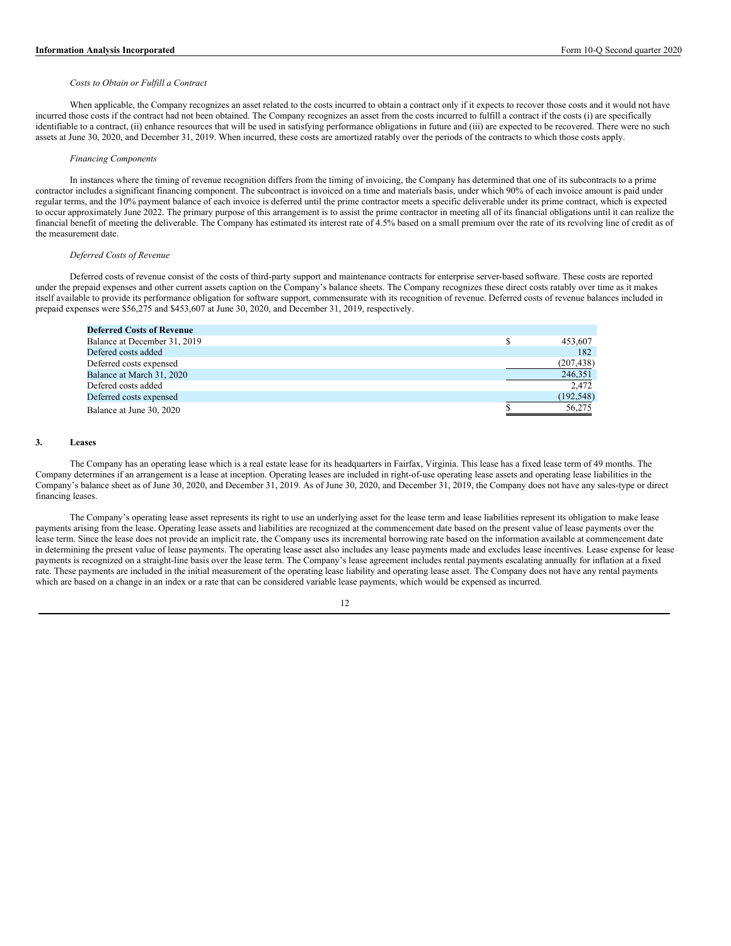#### *Costs to Obtain or Fulfill a Contract*

When applicable, the Company recognizes an asset related to the costs incurred to obtain a contract only if it expects to recover those costs and it would not have incurred those costs if the contract had not been obtained. The Company recognizes an asset from the costs incurred to fulfill a contract if the costs (i) are specifically identifiable to a contract, (ii) enhance resources that will be used in satisfying performance obligations in future and (iii) are expected to be recovered. There were no such assets at June 30, 2020, and December 31, 2019. When incurred, these costs are amortized ratably over the periods of the contracts to which those costs apply.

#### *Financing Components*

In instances where the timing of revenue recognition differs from the timing of invoicing, the Company has determined that one of its subcontracts to a prime contractor includes a significant financing component. The subcontract is invoiced on a time and materials basis, under which 90% of each invoice amount is paid under regular terms, and the 10% payment balance of each invoice is deferred until the prime contractor meets a specific deliverable under its prime contract, which is expected to occur approximately June 2022. The primary purpose of this arrangement is to assist the prime contractor in meeting all of its financial obligations until it can realize the financial benefit of meeting the deliverable. The Company has estimated its interest rate of 4.5% based on a small premium over the rate of its revolving line of credit as of the measurement date.

### *Deferred Costs of Revenue*

Deferred costs of revenue consist of the costs of third-party support and maintenance contracts for enterprise server-based software. These costs are reported under the prepaid expenses and other current assets caption on the Company's balance sheets. The Company recognizes these direct costs ratably over time as it makes itself available to provide its performance obligation for software support, commensurate with its recognition of revenue. Deferred costs of revenue balances included in prepaid expenses were \$56,275 and \$453,607 at June 30, 2020, and December 31, 2019, respectively.

| <b>Deferred Costs of Revenue</b> |            |
|----------------------------------|------------|
| Balance at December 31, 2019     | 453.607    |
| Defered costs added              | 182        |
| Deferred costs expensed          | (207, 438) |
| Balance at March 31, 2020        | 246,351    |
| Defered costs added              | 2.472      |
| Deferred costs expensed          | (192, 548) |
| Balance at June 30, 2020         | 56,275     |

#### **3. Leases**

The Company has an operating lease which is a real estate lease for its headquarters in Fairfax, Virginia. This lease has a fixed lease term of 49 months. The Company determines if an arrangement is a lease at inception. Operating leases are included in right-of-use operating lease assets and operating lease liabilities in the Company's balance sheet as of June 30, 2020, and December 31, 2019. As of June 30, 2020, and December 31, 2019, the Company does not have any sales-type or direct financing leases.

The Company's operating lease asset represents its right to use an underlying asset for the lease term and lease liabilities represent its obligation to make lease payments arising from the lease. Operating lease assets and liabilities are recognized at the commencement date based on the present value of lease payments over the lease term. Since the lease does not provide an implicit rate, the Company uses its incremental borrowing rate based on the information available at commencement date in determining the present value of lease payments. The operating lease asset also includes any lease payments made and excludes lease incentives. Lease expense for lease payments is recognized on a straight-line basis over the lease term. The Company's lease agreement includes rental payments escalating annually for inflation at a fixed rate. These payments are included in the initial measurement of the operating lease liability and operating lease asset. The Company does not have any rental payments which are based on a change in an index or a rate that can be considered variable lease payments, which would be expensed as incurred.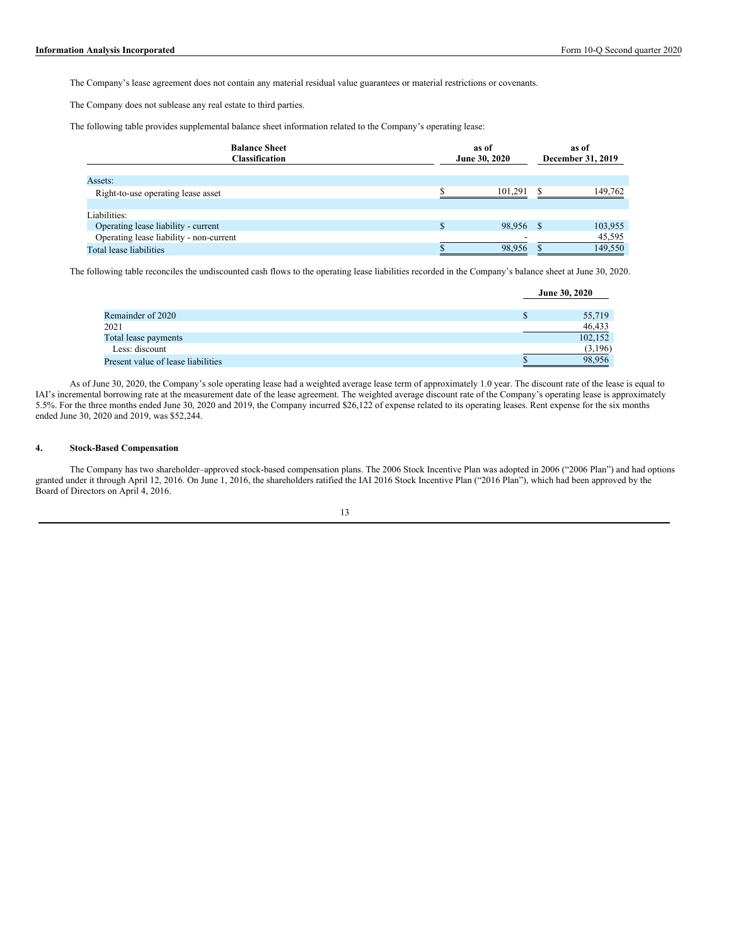The Company's lease agreement does not contain any material residual value guarantees or material restrictions or covenants.

The Company does not sublease any real estate to third parties.

The following table provides supplemental balance sheet information related to the Company's operating lease:

| <b>Balance Sheet</b><br>Classification  | as of<br>June 30, 2020 |  | as of<br>December 31, 2019 |  |  |
|-----------------------------------------|------------------------|--|----------------------------|--|--|
| Assets:                                 |                        |  |                            |  |  |
| Right-to-use operating lease asset      | 101.291                |  | 149,762                    |  |  |
| Liabilities:                            |                        |  |                            |  |  |
| Operating lease liability - current     | 98,956 \$              |  | 103,955                    |  |  |
| Operating lease liability - non-current |                        |  | 45,595                     |  |  |
| Total lease liabilities                 | 98,956                 |  | 149,550                    |  |  |

The following table reconciles the undiscounted cash flows to the operating lease liabilities recorded in the Company's balance sheet at June 30, 2020.

|                                    |   | <b>June 30, 2020</b> |  |
|------------------------------------|---|----------------------|--|
|                                    |   |                      |  |
| Remainder of 2020                  | Ъ | 55,719               |  |
| 2021                               |   | 46,433               |  |
| Total lease payments               |   | 102,152              |  |
| Less: discount                     |   | (3,196)              |  |
| Present value of lease liabilities |   | 98.956               |  |

As of June 30, 2020, the Company's sole operating lease had a weighted average lease term of approximately 1.0 year. The discount rate of the lease is equal to IAI's incremental borrowing rate at the measurement date of the lease agreement. The weighted average discount rate of the Company's operating lease is approximately 5.5%. For the three months ended June 30, 2020 and 2019, the Company incurred \$26,122 of expense related to its operating leases. Rent expense for the six months ended June 30, 2020 and 2019, was \$52,244.

# **4. Stock-Based Compensation**

The Company has two shareholder–approved stock-based compensation plans. The 2006 Stock Incentive Plan was adopted in 2006 ("2006 Plan") and had options granted under it through April 12, 2016. On June 1, 2016, the shareholders ratified the IAI 2016 Stock Incentive Plan ("2016 Plan"), which had been approved by the Board of Directors on April 4, 2016.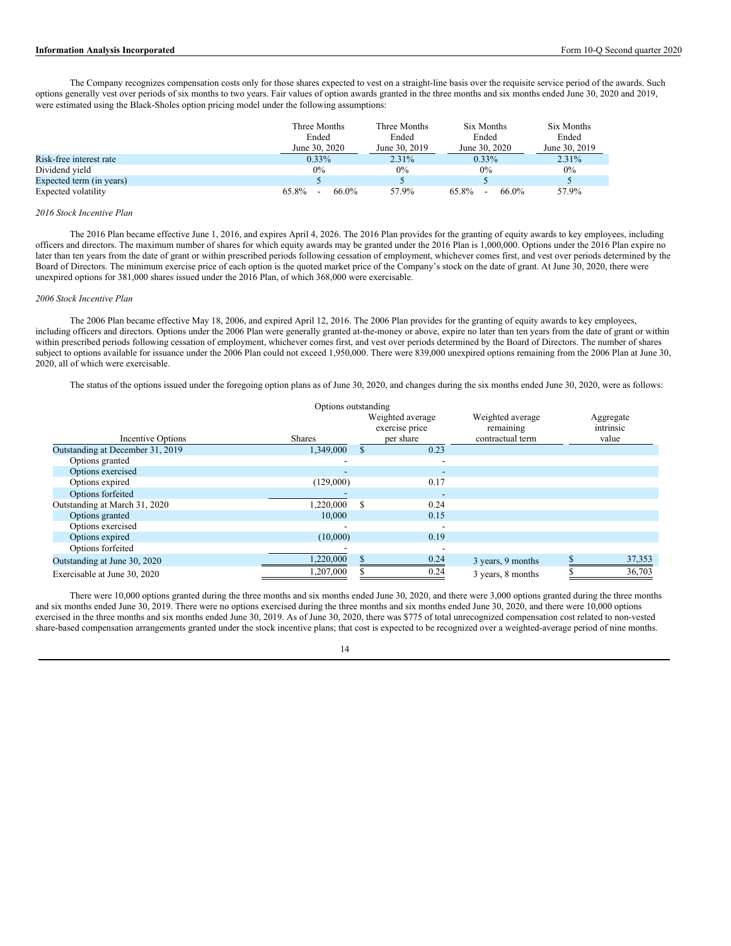The Company recognizes compensation costs only for those shares expected to vest on a straight-line basis over the requisite service period of the awards. Such options generally vest over periods of six months to two years. Fair values of option awards granted in the three months and six months ended June 30, 2020 and 2019, were estimated using the Black-Sholes option pricing model under the following assumptions:

|                          | Three Months<br>Three Months |               | Six Months     | Six Months    |  |
|--------------------------|------------------------------|---------------|----------------|---------------|--|
|                          | Ended                        | Ended         | Ended          | Ended         |  |
|                          | June 30, 2020                | June 30, 2019 | June 30, 2020  | June 30, 2019 |  |
| Risk-free interest rate  | $0.33\%$                     | $2.31\%$      | $0.33\%$       | $2.31\%$      |  |
| Dividend yield           | $0\%$                        | $0\%$         | 0%             | $0\%$         |  |
| Expected term (in years) |                              |               |                |               |  |
| Expected volatility      | 65.8%<br>66.0%<br>-          | 57.9%         | 65.8%<br>66.0% | 57.9%         |  |

#### *2016 Stock Incentive Plan*

The 2016 Plan became effective June 1, 2016, and expires April 4, 2026. The 2016 Plan provides for the granting of equity awards to key employees, including officers and directors. The maximum number of shares for which equity awards may be granted under the 2016 Plan is 1,000,000. Options under the 2016 Plan expire no later than ten years from the date of grant or within prescribed periods following cessation of employment, whichever comes first, and vest over periods determined by the Board of Directors. The minimum exercise price of each option is the quoted market price of the Company's stock on the date of grant. At June 30, 2020, there were unexpired options for 381,000 shares issued under the 2016 Plan, of which 368,000 were exercisable.

#### *2006 Stock Incentive Plan*

The 2006 Plan became effective May 18, 2006, and expired April 12, 2016. The 2006 Plan provides for the granting of equity awards to key employees, including officers and directors. Options under the 2006 Plan were generally granted at-the-money or above, expire no later than ten years from the date of grant or within within prescribed periods following cessation of employment, whichever comes first, and vest over periods determined by the Board of Directors. The number of shares subject to options available for issuance under the 2006 Plan could not exceed 1,950,000. There were 839,000 unexpired options remaining from the 2006 Plan at June 30, 2020, all of which were exercisable.

The status of the options issued under the foregoing option plans as of June 30, 2020, and changes during the six months ended June 30, 2020, were as follows:

| Options outstanding              |               |   |                                                 |                                                   |  |                                 |
|----------------------------------|---------------|---|-------------------------------------------------|---------------------------------------------------|--|---------------------------------|
| Incentive Options                | <b>Shares</b> |   | Weighted average<br>exercise price<br>per share | Weighted average<br>remaining<br>contractual term |  | Aggregate<br>intrinsic<br>value |
| Outstanding at December 31, 2019 | 1,349,000     |   | 0.23                                            |                                                   |  |                                 |
| Options granted                  |               |   | -                                               |                                                   |  |                                 |
| Options exercised                |               |   |                                                 |                                                   |  |                                 |
| Options expired                  | (129,000)     |   | 0.17                                            |                                                   |  |                                 |
| Options forfeited                |               |   | -                                               |                                                   |  |                                 |
| Outstanding at March 31, 2020    | 1,220,000     | S | 0.24                                            |                                                   |  |                                 |
| Options granted                  | 10,000        |   | 0.15                                            |                                                   |  |                                 |
| Options exercised                |               |   |                                                 |                                                   |  |                                 |
| Options expired                  | (10,000)      |   | 0.19                                            |                                                   |  |                                 |
| Options forfeited                |               |   |                                                 |                                                   |  |                                 |
| Outstanding at June 30, 2020     | 1,220,000     |   | 0.24                                            | 3 years, 9 months                                 |  | 37,353                          |
| Exercisable at June 30, 2020     | 1,207,000     |   | 0.24                                            | 3 years, 8 months                                 |  | 36,703                          |

There were 10,000 options granted during the three months and six months ended June 30, 2020, and there were 3,000 options granted during the three months and six months ended June 30, 2019. There were no options exercised during the three months and six months ended June 30, 2020, and there were 10,000 options exercised in the three months and six months ended June 30, 2019. As of June 30, 2020, there was \$775 of total unrecognized compensation cost related to non-vested share-based compensation arrangements granted under the stock incentive plans; that cost is expected to be recognized over a weighted-average period of nine months.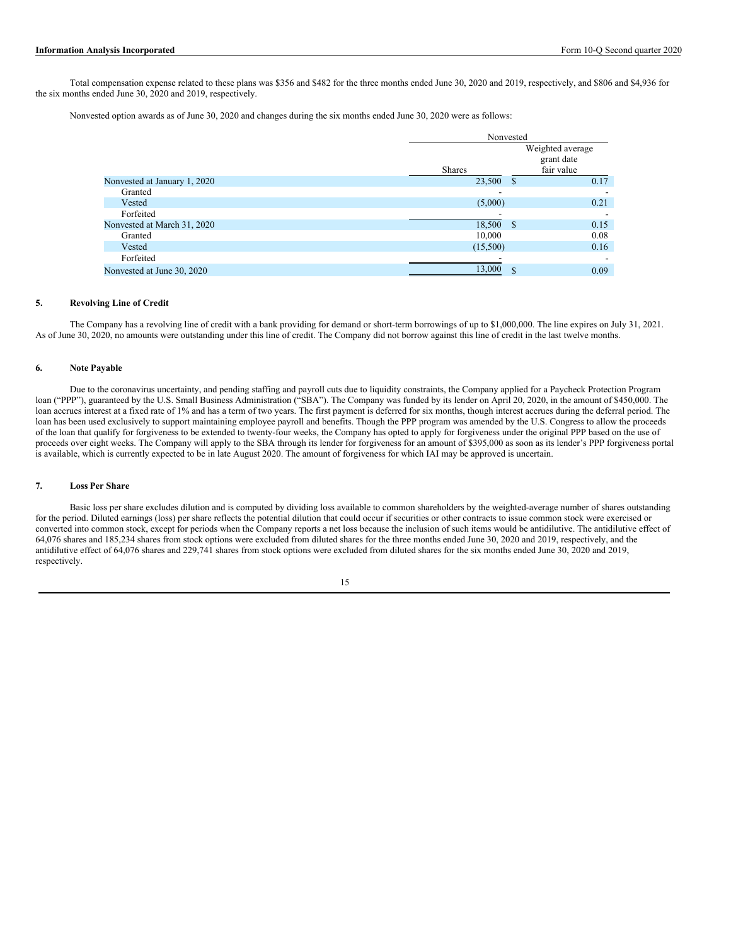Total compensation expense related to these plans was \$356 and \$482 for the three months ended June 30, 2020 and 2019, respectively, and \$806 and \$4,936 for the six months ended June 30, 2020 and 2019, respectively.

Nonvested option awards as of June 30, 2020 and changes during the six months ended June 30, 2020 were as follows:

|                              | Nonvested          |                                              |  |  |
|------------------------------|--------------------|----------------------------------------------|--|--|
|                              | <b>Shares</b>      | Weighted average<br>grant date<br>fair value |  |  |
| Nonvested at January 1, 2020 | 23,500<br><b>S</b> | 0.17                                         |  |  |
| Granted                      |                    |                                              |  |  |
| Vested                       | (5,000)            | 0.21                                         |  |  |
| Forfeited                    |                    |                                              |  |  |
| Nonvested at March 31, 2020  | 18,500 \$          | 0.15                                         |  |  |
| Granted                      | 10,000             | 0.08                                         |  |  |
| Vested                       | (15,500)           | 0.16                                         |  |  |
| Forfeited                    |                    |                                              |  |  |
| Nonvested at June 30, 2020   | 13,000             | \$<br>0.09                                   |  |  |

## **5. Revolving Line of Credit**

The Company has a revolving line of credit with a bank providing for demand or short-term borrowings of up to \$1,000,000. The line expires on July 31, 2021. As of June 30, 2020, no amounts were outstanding under this line of credit. The Company did not borrow against this line of credit in the last twelve months.

### **6. Note Payable**

Due to the coronavirus uncertainty, and pending staffing and payroll cuts due to liquidity constraints, the Company applied for a Paycheck Protection Program loan ("PPP"), guaranteed by the U.S. Small Business Administration ("SBA"). The Company was funded by its lender on April 20, 2020, in the amount of \$450,000. The loan accrues interest at a fixed rate of 1% and has a term of two years. The first payment is deferred for six months, though interest accrues during the deferral period. The loan has been used exclusively to support maintaining employee payroll and benefits. Though the PPP program was amended by the U.S. Congress to allow the proceeds of the loan that qualify for forgiveness to be extended to twenty-four weeks, the Company has opted to apply for forgiveness under the original PPP based on the use of proceeds over eight weeks. The Company will apply to the SBA through its lender for forgiveness for an amount of \$395,000 as soon as its lender's PPP forgiveness portal is available, which is currently expected to be in late August 2020. The amount of forgiveness for which IAI may be approved is uncertain.

### **7. Loss Per Share**

Basic loss per share excludes dilution and is computed by dividing loss available to common shareholders by the weighted-average number of shares outstanding for the period. Diluted earnings (loss) per share reflects the potential dilution that could occur if securities or other contracts to issue common stock were exercised or converted into common stock, except for periods when the Company reports a net loss because the inclusion of such items would be antidilutive. The antidilutive effect of 64,076 shares and 185,234 shares from stock options were excluded from diluted shares for the three months ended June 30, 2020 and 2019, respectively, and the antidilutive effect of 64,076 shares and 229,741 shares from stock options were excluded from diluted shares for the six months ended June 30, 2020 and 2019, respectively.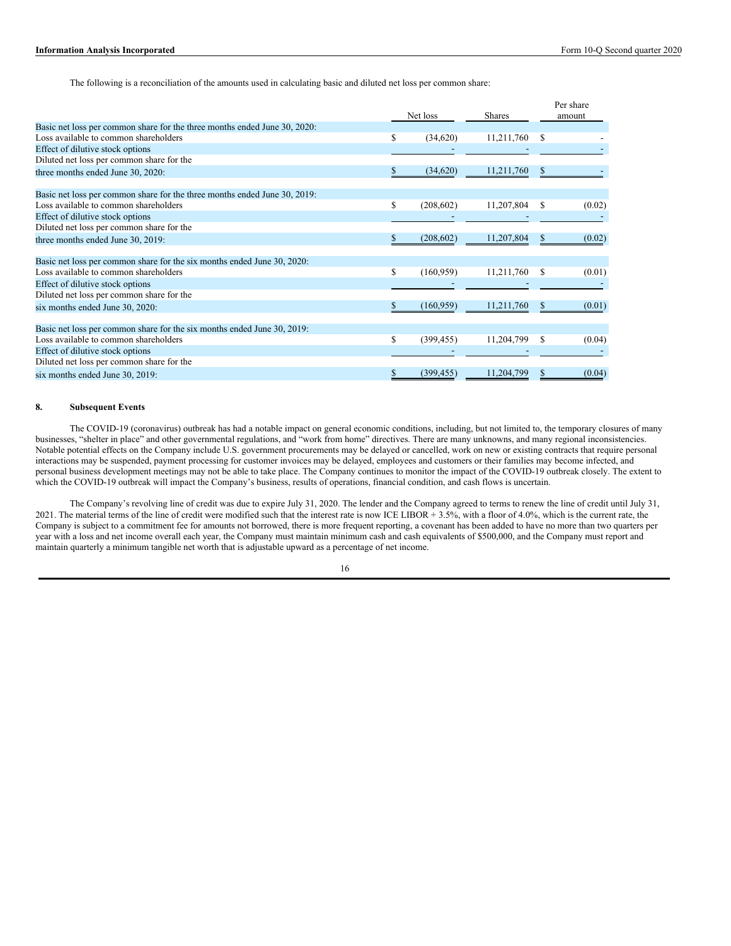The following is a reconciliation of the amounts used in calculating basic and diluted net loss per common share:

|                                                                           |    |            |               |               | Per share |
|---------------------------------------------------------------------------|----|------------|---------------|---------------|-----------|
|                                                                           |    | Net loss   | <b>Shares</b> |               | amount    |
| Basic net loss per common share for the three months ended June 30, 2020: |    |            |               |               |           |
| Loss available to common shareholders                                     | \$ | (34,620)   | 11,211,760    | -S            |           |
| Effect of dilutive stock options                                          |    |            |               |               |           |
| Diluted net loss per common share for the                                 |    |            |               |               |           |
| three months ended June 30, 2020:                                         | S  | (34,620)   | 11,211,760    | \$.           |           |
| Basic net loss per common share for the three months ended June 30, 2019: |    |            |               |               |           |
| Loss available to common shareholders                                     | \$ | (208, 602) | 11,207,804    | <sup>\$</sup> | (0.02)    |
| Effect of dilutive stock options                                          |    |            |               |               |           |
| Diluted net loss per common share for the                                 |    |            |               |               |           |
| three months ended June 30, 2019:                                         | S  | (208, 602) | 11,207,804    |               | (0.02)    |
| Basic net loss per common share for the six months ended June 30, 2020:   |    |            |               |               |           |
| Loss available to common shareholders                                     | \$ | (160, 959) | 11,211,760    | S             | (0.01)    |
| Effect of dilutive stock options                                          |    |            |               |               |           |
| Diluted net loss per common share for the                                 |    |            |               |               |           |
| six months ended June 30, 2020:                                           | \$ | (160, 959) | 11,211,760    |               | (0.01)    |
| Basic net loss per common share for the six months ended June 30, 2019:   |    |            |               |               |           |
| Loss available to common shareholders                                     | \$ | (399, 455) | 11,204,799    | S             | (0.04)    |
| Effect of dilutive stock options                                          |    |            |               |               |           |
| Diluted net loss per common share for the                                 |    |            |               |               |           |
| six months ended June 30, 2019:                                           | \$ | (399, 455) | 11,204,799    | S             | (0.04)    |

## **8. Subsequent Events**

The COVID-19 (coronavirus) outbreak has had a notable impact on general economic conditions, including, but not limited to, the temporary closures of many businesses, "shelter in place" and other governmental regulations, and "work from home" directives. There are many unknowns, and many regional inconsistencies. Notable potential effects on the Company include U.S. government procurements may be delayed or cancelled, work on new or existing contracts that require personal interactions may be suspended, payment processing for customer invoices may be delayed, employees and customers or their families may become infected, and personal business development meetings may not be able to take place. The Company continues to monitor the impact of the COVID-19 outbreak closely. The extent to which the COVID-19 outbreak will impact the Company's business, results of operations, financial condition, and cash flows is uncertain.

The Company's revolving line of credit was due to expire July 31, 2020. The lender and the Company agreed to terms to renew the line of credit until July 31, 2021. The material terms of the line of credit were modified such that the interest rate is now ICE LIBOR  $\hat{+}$  3.5%, with a floor of 4.0%, which is the current rate, the Company is subject to a commitment fee for amounts not borrowed, there is more frequent reporting, a covenant has been added to have no more than two quarters per year with a loss and net income overall each year, the Company must maintain minimum cash and cash equivalents of \$500,000, and the Company must report and maintain quarterly a minimum tangible net worth that is adjustable upward as a percentage of net income.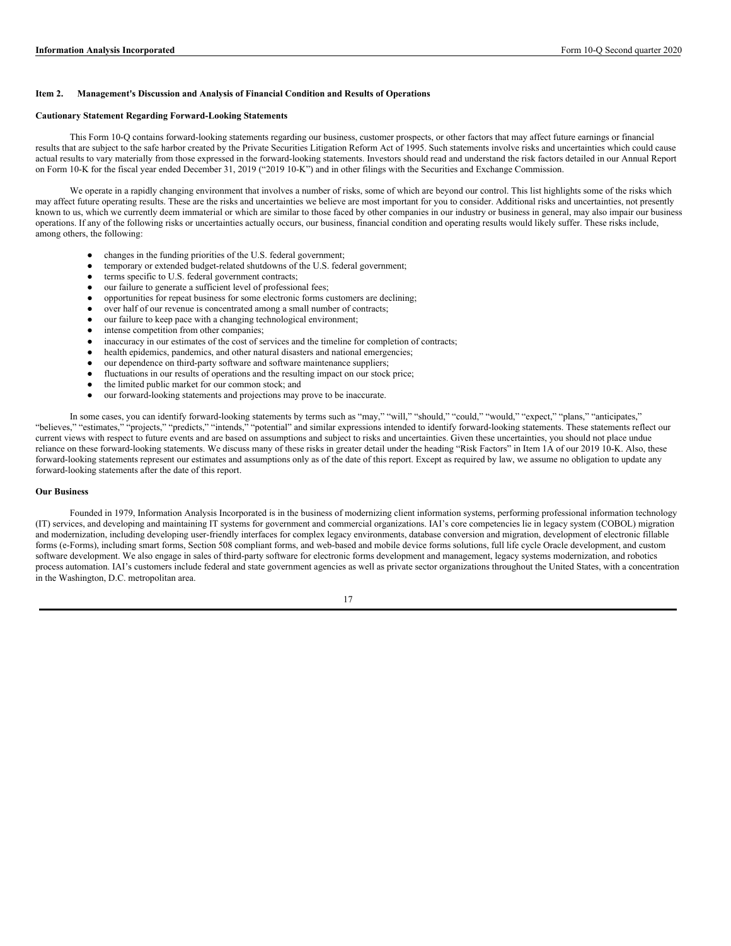#### **Item 2. Management's Discussion and Analysis of Financial Condition and Results of Operations**

#### **Cautionary Statement Regarding Forward-Looking Statements**

This Form 10-Q contains forward-looking statements regarding our business, customer prospects, or other factors that may affect future earnings or financial results that are subject to the safe harbor created by the Private Securities Litigation Reform Act of 1995. Such statements involve risks and uncertainties which could cause actual results to vary materially from those expressed in the forward-looking statements. Investors should read and understand the risk factors detailed in our Annual Report on Form 10-K for the fiscal year ended December 31, 2019 ("2019 10-K") and in other filings with the Securities and Exchange Commission.

We operate in a rapidly changing environment that involves a number of risks, some of which are beyond our control. This list highlights some of the risks which may affect future operating results. These are the risks and uncertainties we believe are most important for you to consider. Additional risks and uncertainties, not presently known to us, which we currently deem immaterial or which are similar to those faced by other companies in our industry or business in general, may also impair our business operations. If any of the following risks or uncertainties actually occurs, our business, financial condition and operating results would likely suffer. These risks include, among others, the following:

- changes in the funding priorities of the U.S. federal government;
- temporary or extended budget-related shutdowns of the U.S. federal government:
- terms specific to U.S. federal government contracts;
- our failure to generate a sufficient level of professional fees;
- opportunities for repeat business for some electronic forms customers are declining;
- over half of our revenue is concentrated among a small number of contracts;
- our failure to keep pace with a changing technological environment;
- intense competition from other companies;
- inaccuracy in our estimates of the cost of services and the timeline for completion of contracts;
- health epidemics, pandemics, and other natural disasters and national emergencies;
- our dependence on third-party software and software maintenance suppliers;
- fluctuations in our results of operations and the resulting impact on our stock price;
- the limited public market for our common stock; and
- our forward-looking statements and projections may prove to be inaccurate.

In some cases, you can identify forward-looking statements by terms such as "may," "will," "should," "could," "would," "expect," "plans," "anticipates," "believes," "estimates," "projects," "predicts," "intends," "potential" and similar expressions intended to identify forward-looking statements. These statements reflect our current views with respect to future events and are based on assumptions and subject to risks and uncertainties. Given these uncertainties, you should not place undue reliance on these forward-looking statements. We discuss many of these risks in greater detail under the heading "Risk Factors" in Item 1A of our 2019 10-K. Also, these forward-looking statements represent our estimates and assumptions only as of the date of this report. Except as required by law, we assume no obligation to update any forward-looking statements after the date of this report.

#### **Our Business**

Founded in 1979, Information Analysis Incorporated is in the business of modernizing client information systems, performing professional information technology (IT) services, and developing and maintaining IT systems for government and commercial organizations. IAI's core competencies lie in legacy system (COBOL) migration and modernization, including developing user-friendly interfaces for complex legacy environments, database conversion and migration, development of electronic fillable forms (e-Forms), including smart forms, Section 508 compliant forms, and web-based and mobile device forms solutions, full life cycle Oracle development, and custom software development. We also engage in sales of third-party software for electronic forms development and management, legacy systems modernization, and robotics process automation. IAI's customers include federal and state government agencies as well as private sector organizations throughout the United States, with a concentration in the Washington, D.C. metropolitan area.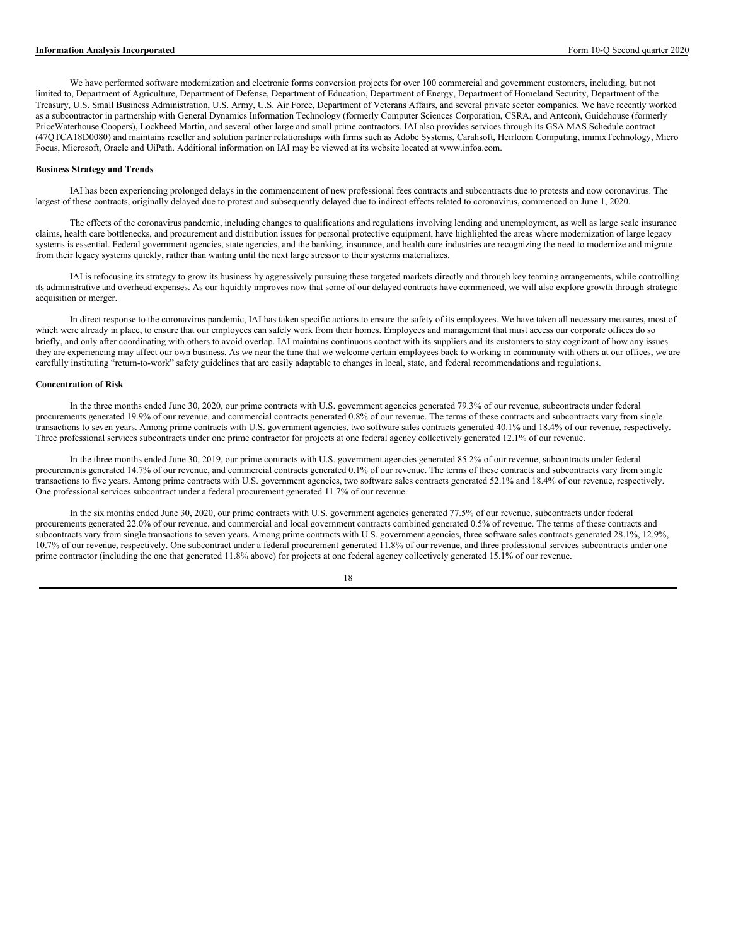We have performed software modernization and electronic forms conversion projects for over 100 commercial and government customers, including, but not limited to, Department of Agriculture, Department of Defense, Department of Education, Department of Energy, Department of Homeland Security, Department of the Treasury, U.S. Small Business Administration, U.S. Army, U.S. Air Force, Department of Veterans Affairs, and several private sector companies. We have recently worked as a subcontractor in partnership with General Dynamics Information Technology (formerly Computer Sciences Corporation, CSRA, and Anteon), Guidehouse (formerly PriceWaterhouse Coopers), Lockheed Martin, and several other large and small prime contractors. IAI also provides services through its GSA MAS Schedule contract (47QTCA18D0080) and maintains reseller and solution partner relationships with firms such as Adobe Systems, Carahsoft, Heirloom Computing, immixTechnology, Micro Focus, Microsoft, Oracle and UiPath. Additional information on IAI may be viewed at its website located at www.infoa.com.

## **Business Strategy and Trends**

IAI has been experiencing prolonged delays in the commencement of new professional fees contracts and subcontracts due to protests and now coronavirus. The largest of these contracts, originally delayed due to protest and subsequently delayed due to indirect effects related to coronavirus, commenced on June 1, 2020.

The effects of the coronavirus pandemic, including changes to qualifications and regulations involving lending and unemployment, as well as large scale insurance claims, health care bottlenecks, and procurement and distribution issues for personal protective equipment, have highlighted the areas where modernization of large legacy systems is essential. Federal government agencies, state agencies, and the banking, insurance, and health care industries are recognizing the need to modernize and migrate from their legacy systems quickly, rather than waiting until the next large stressor to their systems materializes.

IAI is refocusing its strategy to grow its business by aggressively pursuing these targeted markets directly and through key teaming arrangements, while controlling its administrative and overhead expenses. As our liquidity improves now that some of our delayed contracts have commenced, we will also explore growth through strategic acquisition or merger.

In direct response to the coronavirus pandemic, IAI has taken specific actions to ensure the safety of its employees. We have taken all necessary measures, most of which were already in place, to ensure that our employees can safely work from their homes. Employees and management that must access our corporate offices do so briefly, and only after coordinating with others to avoid overlap. IAI maintains continuous contact with its suppliers and its customers to stay cognizant of how any issues they are experiencing may affect our own business. As we near the time that we welcome certain employees back to working in community with others at our offices, we are carefully instituting "return-to-work" safety guidelines that are easily adaptable to changes in local, state, and federal recommendations and regulations.

#### **Concentration of Risk**

In the three months ended June 30, 2020, our prime contracts with U.S. government agencies generated 79.3% of our revenue, subcontracts under federal procurements generated 19.9% of our revenue, and commercial contracts generated 0.8% of our revenue. The terms of these contracts and subcontracts vary from single transactions to seven years. Among prime contracts with U.S. government agencies, two software sales contracts generated 40.1% and 18.4% of our revenue, respectively. Three professional services subcontracts under one prime contractor for projects at one federal agency collectively generated 12.1% of our revenue.

In the three months ended June 30, 2019, our prime contracts with U.S. government agencies generated 85.2% of our revenue, subcontracts under federal procurements generated 14.7% of our revenue, and commercial contracts generated 0.1% of our revenue. The terms of these contracts and subcontracts vary from single transactions to five years. Among prime contracts with U.S. government agencies, two software sales contracts generated 52.1% and 18.4% of our revenue, respectively. One professional services subcontract under a federal procurement generated 11.7% of our revenue.

In the six months ended June 30, 2020, our prime contracts with U.S. government agencies generated 77.5% of our revenue, subcontracts under federal procurements generated 22.0% of our revenue, and commercial and local government contracts combined generated 0.5% of revenue. The terms of these contracts and subcontracts vary from single transactions to seven years. Among prime contracts with U.S. government agencies, three software sales contracts generated 28.1%, 12.9%, 10.7% of our revenue, respectively. One subcontract under a federal procurement generated 11.8% of our revenue, and three professional services subcontracts under one prime contractor (including the one that generated 11.8% above) for projects at one federal agency collectively generated 15.1% of our revenue.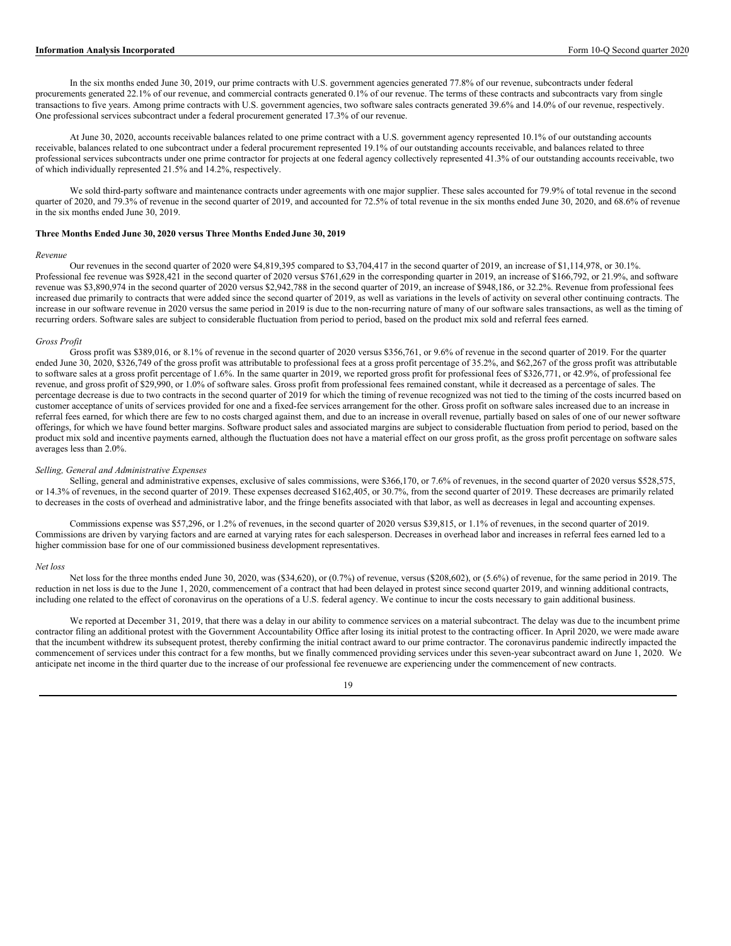### **Information Analysis Incorporated** Form 10-Q Second quarter 2020

In the six months ended June 30, 2019, our prime contracts with U.S. government agencies generated 77.8% of our revenue, subcontracts under federal procurements generated 22.1% of our revenue, and commercial contracts generated 0.1% of our revenue. The terms of these contracts and subcontracts vary from single transactions to five years. Among prime contracts with U.S. government agencies, two software sales contracts generated 39.6% and 14.0% of our revenue, respectively. One professional services subcontract under a federal procurement generated 17.3% of our revenue.

At June 30, 2020, accounts receivable balances related to one prime contract with a U.S. government agency represented 10.1% of our outstanding accounts receivable, balances related to one subcontract under a federal procurement represented 19.1% of our outstanding accounts receivable, and balances related to three professional services subcontracts under one prime contractor for projects at one federal agency collectively represented 41.3% of our outstanding accounts receivable, two of which individually represented 21.5% and 14.2%, respectively.

We sold third-party software and maintenance contracts under agreements with one major supplier. These sales accounted for 79.9% of total revenue in the second quarter of 2020, and 79.3% of revenue in the second quarter of 2019, and accounted for 72.5% of total revenue in the six months ended June 30, 2020, and 68.6% of revenue in the six months ended June 30, 2019.

## **Three Months Ended June 30, 2020 versus Three Months Ended June 30, 2019**

#### *Revenue*

Our revenues in the second quarter of 2020 were \$4,819,395 compared to \$3,704,417 in the second quarter of 2019, an increase of \$1,114,978, or 30.1%. Professional fee revenue was \$928,421 in the second quarter of 2020 versus \$761,629 in the corresponding quarter in 2019, an increase of \$166,792, or 21.9%, and software revenue was \$3,890,974 in the second quarter of 2020 versus \$2,942,788 in the second quarter of 2019, an increase of \$948,186, or 32.2%. Revenue from professional fees increased due primarily to contracts that were added since the second quarter of 2019, as well as variations in the levels of activity on several other continuing contracts. The increase in our software revenue in 2020 versus the same period in 2019 is due to the non-recurring nature of many of our software sales transactions, as well as the timing of recurring orders. Software sales are subject to considerable fluctuation from period to period, based on the product mix sold and referral fees earned.

#### *Gross Profit*

Gross profit was \$389,016, or 8.1% of revenue in the second quarter of 2020 versus \$356,761, or 9.6% of revenue in the second quarter of 2019. For the quarter ended June 30, 2020, \$326,749 of the gross profit was attributable to professional fees at a gross profit percentage of 35.2%, and \$62,267 of the gross profit was attributable to software sales at a gross profit percentage of 1.6%. In the same quarter in 2019, we reported gross profit for professional fees of \$326,771, or 42.9%, of professional fee revenue, and gross profit of \$29,990, or 1.0% of software sales. Gross profit from professional fees remained constant, while it decreased as a percentage of sales. The percentage decrease is due to two contracts in the second quarter of 2019 for which the timing of revenue recognized was not tied to the timing of the costs incurred based on customer acceptance of units of services provided for one and a fixed-fee services arrangement for the other. Gross profit on software sales increased due to an increase in referral fees earned, for which there are few to no costs charged against them, and due to an increase in overall revenue, partially based on sales of one of our newer software offerings, for which we have found better margins. Software product sales and associated margins are subject to considerable fluctuation from period to period, based on the product mix sold and incentive payments earned, although the fluctuation does not have a material effect on our gross profit, as the gross profit percentage on software sales averages less than 2.0%.

#### *Selling, General and Administrative Expenses*

Selling, general and administrative expenses, exclusive of sales commissions, were \$366,170, or 7.6% of revenues, in the second quarter of 2020 versus \$528,575, or 14.3% of revenues, in the second quarter of 2019. These expenses decreased \$162,405, or 30.7%, from the second quarter of 2019. These decreases are primarily related to decreases in the costs of overhead and administrative labor, and the fringe benefits associated with that labor, as well as decreases in legal and accounting expenses.

Commissions expense was \$57,296, or 1.2% of revenues, in the second quarter of 2020 versus \$39,815, or 1.1% of revenues, in the second quarter of 2019. Commissions are driven by varying factors and are earned at varying rates for each salesperson. Decreases in overhead labor and increases in referral fees earned led to a higher commission base for one of our commissioned business development representatives.

#### *Net loss*

Net loss for the three months ended June 30, 2020, was (\$34,620), or (0.7%) of revenue, versus (\$208,602), or (5.6%) of revenue, for the same period in 2019. The reduction in net loss is due to the June 1, 2020, commencement of a contract that had been delayed in protest since second quarter 2019, and winning additional contracts, including one related to the effect of coronavirus on the operations of a U.S. federal agency. We continue to incur the costs necessary to gain additional business.

We reported at December 31, 2019, that there was a delay in our ability to commence services on a material subcontract. The delay was due to the incumbent prime contractor filing an additional protest with the Government Accountability Office after losing its initial protest to the contracting officer. In April 2020, we were made aware that the incumbent withdrew its subsequent protest, thereby confirming the initial contract award to our prime contractor. The coronavirus pandemic indirectly impacted the commencement of services under this contract for a few months, but we finally commenced providing services under this seven-year subcontract award on June 1, 2020. We anticipate net income in the third quarter due to the increase of our professional fee revenuewe are experiencing under the commencement of new contracts.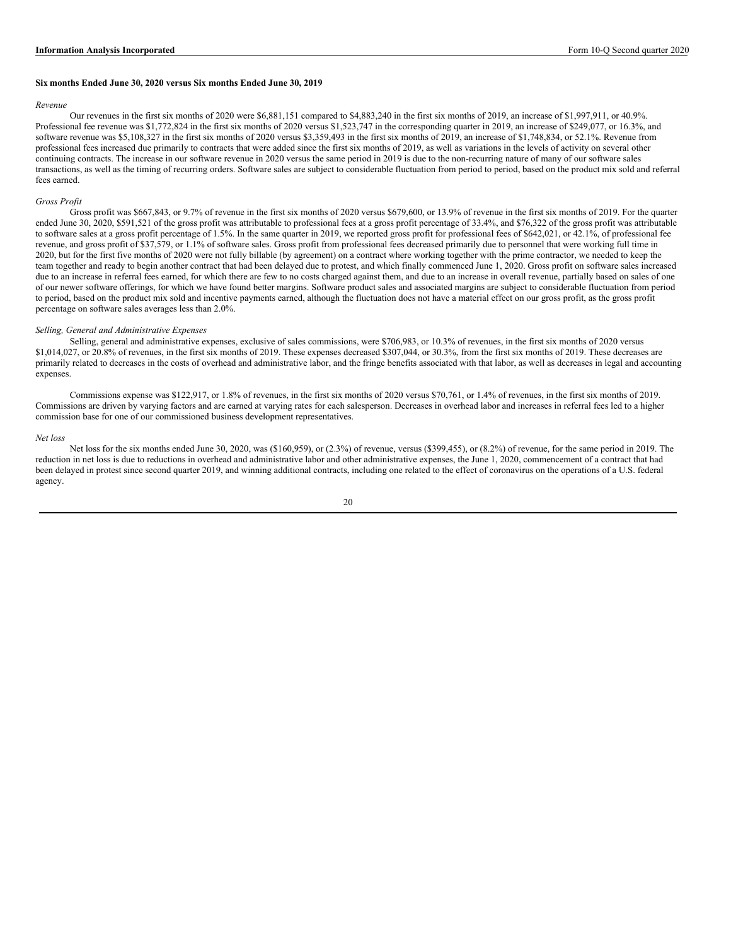#### **Six months Ended June 30, 2020 versus Six months Ended June 30, 2019**

#### *Revenue*

Our revenues in the first six months of 2020 were \$6,881,151 compared to \$4,883,240 in the first six months of 2019, an increase of \$1,997,911, or 40.9%. Professional fee revenue was \$1,772,824 in the first six months of 2020 versus \$1,523,747 in the corresponding quarter in 2019, an increase of \$249,077, or 16.3%, and software revenue was \$5,108,327 in the first six months of 2020 versus \$3,359,493 in the first six months of 2019, an increase of \$1,748,834, or 52.1%. Revenue from professional fees increased due primarily to contracts that were added since the first six months of 2019, as well as variations in the levels of activity on several other continuing contracts. The increase in our software revenue in 2020 versus the same period in 2019 is due to the non-recurring nature of many of our software sales transactions, as well as the timing of recurring orders. Software sales are subject to considerable fluctuation from period to period, based on the product mix sold and referral fees earned.

#### *Gross Profit*

Gross profit was \$667,843, or 9.7% of revenue in the first six months of 2020 versus \$679,600, or 13.9% of revenue in the first six months of 2019. For the quarter ended June 30, 2020, \$591,521 of the gross profit was attributable to professional fees at a gross profit percentage of 33.4%, and \$76,322 of the gross profit was attributable to software sales at a gross profit percentage of 1.5%. In the same quarter in 2019, we reported gross profit for professional fees of \$642,021, or  $\frac{42.1}{6}$ , of professional fee revenue, and gross profit of \$37,579, or 1.1% of software sales. Gross profit from professional fees decreased primarily due to personnel that were working full time in 2020, but for the first five months of 2020 were not fully billable (by agreement) on a contract where working together with the prime contractor, we needed to keep the team together and ready to begin another contract that had been delayed due to protest, and which finally commenced June 1, 2020. Gross profit on software sales increased due to an increase in referral fees earned, for which there are few to no costs charged against them, and due to an increase in overall revenue, partially based on sales of one of our newer software offerings, for which we have found better margins. Software product sales and associated margins are subject to considerable fluctuation from period to period, based on the product mix sold and incentive payments earned, although the fluctuation does not have a material effect on our gross profit, as the gross profit percentage on software sales averages less than 2.0%.

#### *Selling, General and Administrative Expenses*

Selling, general and administrative expenses, exclusive of sales commissions, were \$706,983, or 10.3% of revenues, in the first six months of 2020 versus \$1,014,027, or 20.8% of revenues, in the first six months of 2019. These expenses decreased \$307,044, or 30.3%, from the first six months of 2019. These decreases are primarily related to decreases in the costs of overhead and administrative labor, and the fringe benefits associated with that labor, as well as decreases in legal and accounting expenses.

Commissions expense was \$122,917, or 1.8% of revenues, in the first six months of 2020 versus \$70,761, or 1.4% of revenues, in the first six months of 2019. Commissions are driven by varying factors and are earned at varying rates for each salesperson. Decreases in overhead labor and increases in referral fees led to a higher commission base for one of our commissioned business development representatives.

#### *Net loss*

Net loss for the six months ended June 30, 2020, was (\$160,959), or (2.3%) of revenue, versus (\$399,455), or (8.2%) of revenue, for the same period in 2019. The reduction in net loss is due to reductions in overhead and administrative labor and other administrative expenses, the June 1, 2020, commencement of a contract that had been delayed in protest since second quarter 2019, and winning additional contracts, including one related to the effect of coronavirus on the operations of a U.S. federal agency.

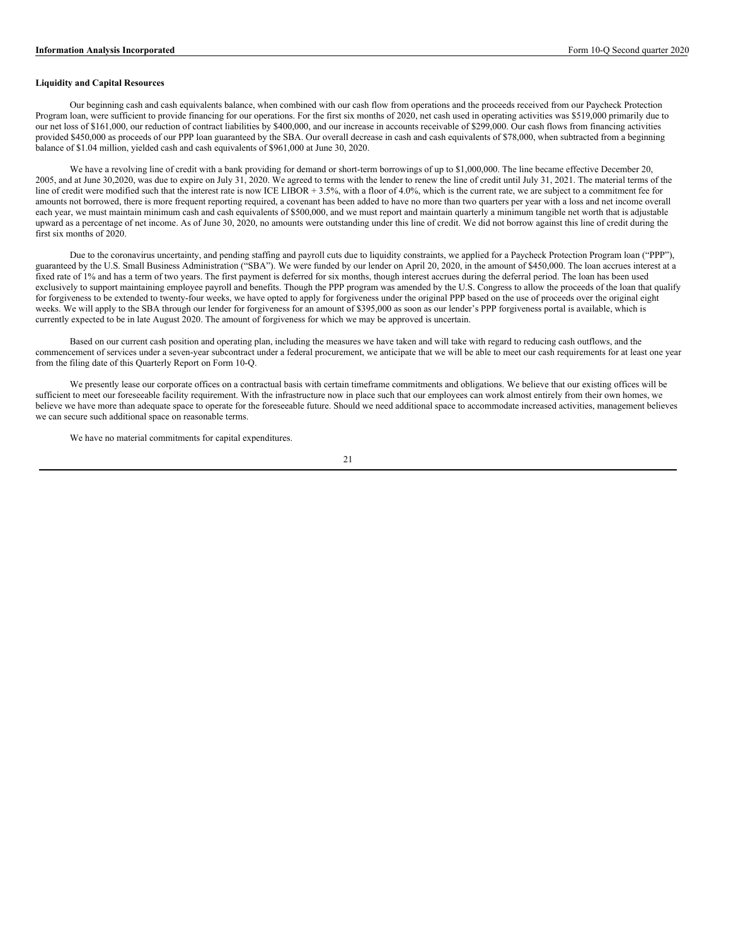## **Liquidity and Capital Resources**

Our beginning cash and cash equivalents balance, when combined with our cash flow from operations and the proceeds received from our Paycheck Protection Program loan, were sufficient to provide financing for our operations. For the first six months of 2020, net cash used in operating activities was \$519,000 primarily due to our net loss of \$161,000, our reduction of contract liabilities by \$400,000, and our increase in accounts receivable of \$299,000. Our cash flows from financing activities provided \$450,000 as proceeds of our PPP loan guaranteed by the SBA. Our overall decrease in cash and cash equivalents of \$78,000, when subtracted from a beginning balance of \$1.04 million, yielded cash and cash equivalents of \$961,000 at June 30, 2020.

We have a revolving line of credit with a bank providing for demand or short-term borrowings of up to \$1,000,000. The line became effective December 20, 2005, and at June 30,2020, was due to expire on July 31, 2020. We agreed to terms with the lender to renew the line of credit until July 31, 2021. The material terms of the line of credit were modified such that the interest rate is now ICE LIBOR + 3.5%, with a floor of 4.0%, which is the current rate, we are subject to a commitment fee for amounts not borrowed, there is more frequent reporting required, a covenant has been added to have no more than two quarters per year with a loss and net income overall each year, we must maintain minimum cash and cash equivalents of \$500,000, and we must report and maintain quarterly a minimum tangible net worth that is adjustable upward as a percentage of net income. As of June 30, 2020, no amounts were outstanding under this line of credit. We did not borrow against this line of credit during the first six months of 2020.

Due to the coronavirus uncertainty, and pending staffing and payroll cuts due to liquidity constraints, we applied for a Paycheck Protection Program loan ("PPP"), guaranteed by the U.S. Small Business Administration ("SBA"). We were funded by our lender on April 20, 2020, in the amount of \$450,000. The loan accrues interest at a fixed rate of 1% and has a term of two years. The first payment is deferred for six months, though interest accrues during the deferral period. The loan has been used exclusively to support maintaining employee payroll and benefits. Though the PPP program was amended by the U.S. Congress to allow the proceeds of the loan that qualify for forgiveness to be extended to twenty-four weeks, we have opted to apply for forgiveness under the original PPP based on the use of proceeds over the original eight weeks. We will apply to the SBA through our lender for forgiveness for an amount of \$395,000 as soon as our lender's PPP forgiveness portal is available, which is currently expected to be in late August 2020. The amount of forgiveness for which we may be approved is uncertain.

Based on our current cash position and operating plan, including the measures we have taken and will take with regard to reducing cash outflows, and the commencement of services under a seven-year subcontract under a federal procurement, we anticipate that we will be able to meet our cash requirements for at least one year from the filing date of this Quarterly Report on Form 10-Q.

We presently lease our corporate offices on a contractual basis with certain timeframe commitments and obligations. We believe that our existing offices will be sufficient to meet our foreseeable facility requirement. With the infrastructure now in place such that our employees can work almost entirely from their own homes, we believe we have more than adequate space to operate for the foreseeable future. Should we need additional space to accommodate increased activities, management believes we can secure such additional space on reasonable terms.

We have no material commitments for capital expenditures.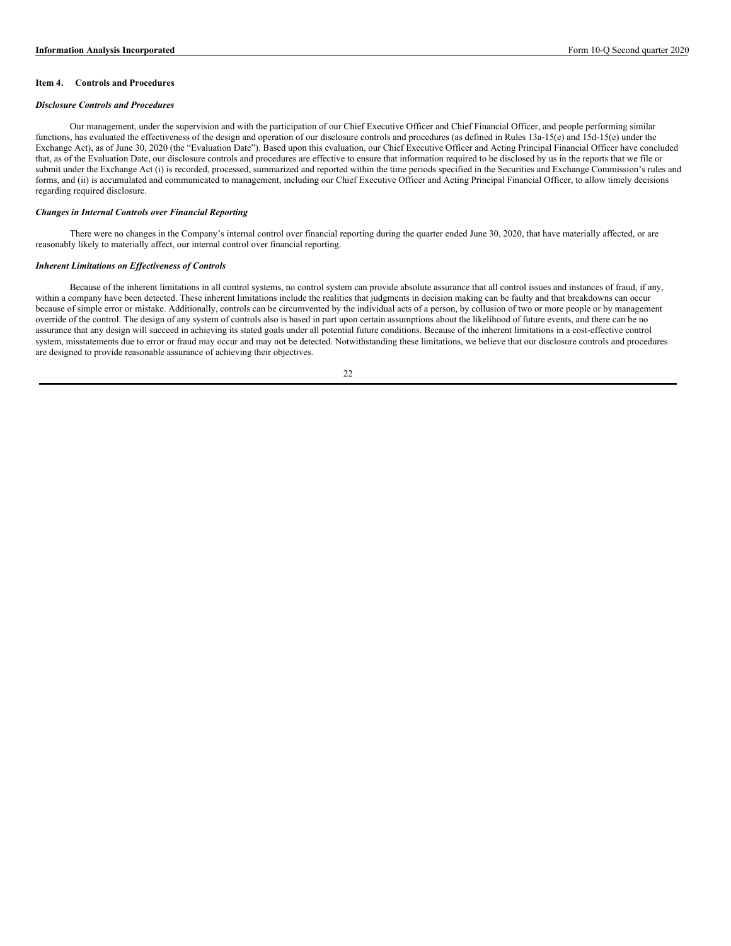## **Item 4. Controls and Procedures**

#### *Disclosure Controls and Procedures*

Our management, under the supervision and with the participation of our Chief Executive Officer and Chief Financial Officer, and people performing similar functions, has evaluated the effectiveness of the design and operation of our disclosure controls and procedures (as defined in Rules 13a-15(e) and 15d-15(e) under the Exchange Act), as of June 30, 2020 (the "Evaluation Date"). Based upon this evaluation, our Chief Executive Officer and Acting Principal Financial Officer have concluded that, as of the Evaluation Date, our disclosure controls and procedures are effective to ensure that information required to be disclosed by us in the reports that we file or submit under the Exchange Act (i) is recorded, processed, summarized and reported within the time periods specified in the Securities and Exchange Commission's rules and forms, and (ii) is accumulated and communicated to management, including our Chief Executive Officer and Acting Principal Financial Officer, to allow timely decisions regarding required disclosure.

### *Changes in Internal Controls over Financial Reporting*

There were no changes in the Company's internal control over financial reporting during the quarter ended June 30, 2020, that have materially affected, or are reasonably likely to materially affect, our internal control over financial reporting.

#### *Inherent Limitations on Ef ectiveness of Controls*

Because of the inherent limitations in all control systems, no control system can provide absolute assurance that all control issues and instances of fraud, if any, within a company have been detected. These inherent limitations include the realities that judgments in decision making can be faulty and that breakdowns can occur because of simple error or mistake. Additionally, controls can be circumvented by the individual acts of a person, by collusion of two or more people or by management override of the control. The design of any system of controls also is based in part upon certain assumptions about the likelihood of future events, and there can be no assurance that any design will succeed in achieving its stated goals under all potential future conditions. Because of the inherent limitations in a cost-effective control system, misstatements due to error or fraud may occur and may not be detected. Notwithstanding these limitations, we believe that our disclosure controls and procedures are designed to provide reasonable assurance of achieving their objectives.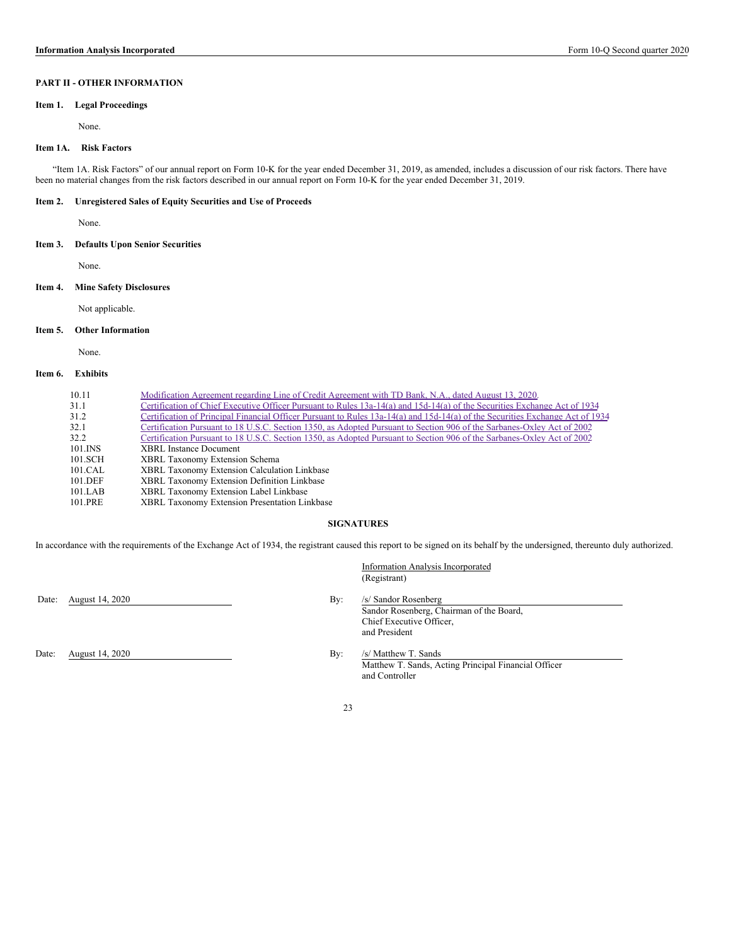# **PART II - OTHER INFORMATION**

## **Item 1. Legal Proceedings**

None.

## **Item 1A. Risk Factors**

"Item 1A. Risk Factors" of our annual report on Form 10-K for the year ended December 31, 2019, as amended, includes a discussion of our risk factors. There have been no material changes from the risk factors described in our annual report on Form 10-K for the year ended December 31, 2019.

### **Item 2. Unregistered Sales of Equity Securities and Use of Proceeds**

None.

## **Item 3. Defaults Upon Senior Securities**

None.

#### **Item 4. Mine Safety Disclosures**

Not applicable.

### **Item 5. Other Information**

None.

# **Item 6. Exhibits**

| 10.11   | Modification Agreement regarding Line of Credit Agreement with TD Bank, N.A., dated August 13, 2020.                          |
|---------|-------------------------------------------------------------------------------------------------------------------------------|
| 31.1    | Certification of Chief Executive Officer Pursuant to Rules 13a-14(a) and 15d-14(a) of the Securities Exchange Act of 1934     |
| 31.2    | Certification of Principal Financial Officer Pursuant to Rules 13a-14(a) and 15d-14(a) of the Securities Exchange Act of 1934 |
| 32.1    | Certification Pursuant to 18 U.S.C. Section 1350, as Adopted Pursuant to Section 906 of the Sarbanes-Oxley Act of 2002        |
| 32.2    | Certification Pursuant to 18 U.S.C. Section 1350, as Adopted Pursuant to Section 906 of the Sarbanes-Oxley Act of 2002        |
| 101.INS | <b>XBRL</b> Instance Document                                                                                                 |
| 101.SCH | <b>XBRL Taxonomy Extension Schema</b>                                                                                         |
| 101.CAL | <b>XBRL Taxonomy Extension Calculation Linkbase</b>                                                                           |
| 101.DEF | XBRL Taxonomy Extension Definition Linkbase                                                                                   |
| 101.LAB | XBRL Taxonomy Extension Label Linkbase                                                                                        |
| 101.PRE | XBRL Taxonomy Extension Presentation Linkbase                                                                                 |

#### **SIGNATURES**

In accordance with the requirements of the Exchange Act of 1934, the registrant caused this report to be signed on its behalf by the undersigned, thereunto duly authorized.

# Date: August 14, 2020 By: /s/ Sandor Rosenberg

(Registrant)

Information Analysis Incorporated

Sandor Rosenberg, Chairman of the Board, Chief Executive Officer, and President

Date: August 14, 2020 By: /s/ Matthew T. Sands

Matthew T. Sands, Acting Principal Financial Officer and Controller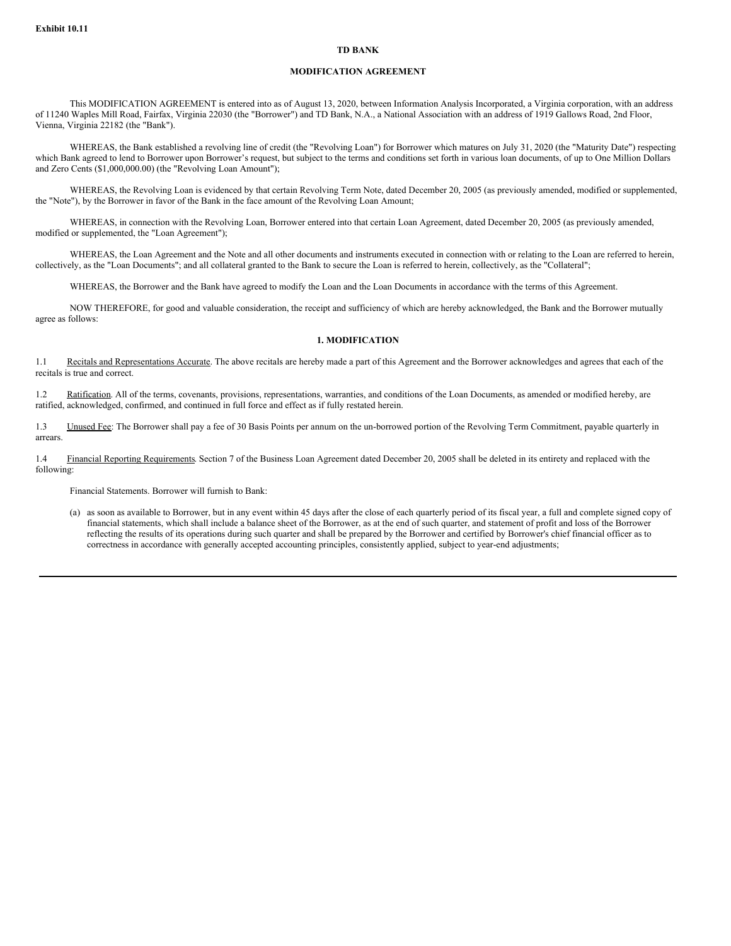### **TD BANK**

## **MODIFICATION AGREEMENT**

This MODIFICATION AGREEMENT is entered into as of August 13, 2020, between Information Analysis Incorporated, a Virginia corporation, with an address of 11240 Waples Mill Road, Fairfax, Virginia 22030 (the "Borrower") and TD Bank, N.A., a National Association with an address of 1919 Gallows Road, 2nd Floor, Vienna, Virginia 22182 (the "Bank").

WHEREAS, the Bank established a revolving line of credit (the "Revolving Loan") for Borrower which matures on July 31, 2020 (the "Maturity Date") respecting which Bank agreed to lend to Borrower upon Borrower's request, but subject to the terms and conditions set forth in various loan documents, of up to One Million Dollars and Zero Cents (\$1,000,000.00) (the "Revolving Loan Amount");

WHEREAS, the Revolving Loan is evidenced by that certain Revolving Term Note, dated December 20, 2005 (as previously amended, modified or supplemented, the "Note"), by the Borrower in favor of the Bank in the face amount of the Revolving Loan Amount;

WHEREAS, in connection with the Revolving Loan, Borrower entered into that certain Loan Agreement, dated December 20, 2005 (as previously amended, modified or supplemented, the "Loan Agreement");

WHEREAS, the Loan Agreement and the Note and all other documents and instruments executed in connection with or relating to the Loan are referred to herein, collectively, as the "Loan Documents"; and all collateral granted to the Bank to secure the Loan is referred to herein, collectively, as the "Collateral";

WHEREAS, the Borrower and the Bank have agreed to modify the Loan and the Loan Documents in accordance with the terms of this Agreement.

NOW THEREFORE, for good and valuable consideration, the receipt and sufficiency of which are hereby acknowledged, the Bank and the Borrower mutually agree as follows:

## **1. MODIFICATION**

1.1 Recitals and Representations Accurate. The above recitals are hereby made a part of this Agreement and the Borrower acknowledges and agrees that each of the recitals is true and correct.

1.2 Ratification. All of the terms, covenants, provisions, representations, warranties, and conditions of the Loan Documents, as amended or modified hereby, are ratified, acknowledged, confirmed, and continued in full force and effect as if fully restated herein.

1.3 Unused Fee: The Borrower shall pay a fee of 30 Basis Points per annum on the un-borrowed portion of the Revolving Term Commitment, payable quarterly in arrears.

1.4 Financial Reporting Requirements. Section 7 of the Business Loan Agreement dated December 20, 2005 shall be deleted in its entirety and replaced with the following:

Financial Statements. Borrower will furnish to Bank:

(a) as soon as available to Borrower, but in any event within 45 days after the close of each quarterly period of its fiscal year, a full and complete signed copy of financial statements, which shall include a balance sheet of the Borrower, as at the end of such quarter, and statement of profit and loss of the Borrower reflecting the results of its operations during such quarter and shall be prepared by the Borrower and certified by Borrower's chief financial officer as to correctness in accordance with generally accepted accounting principles, consistently applied, subject to year-end adjustments;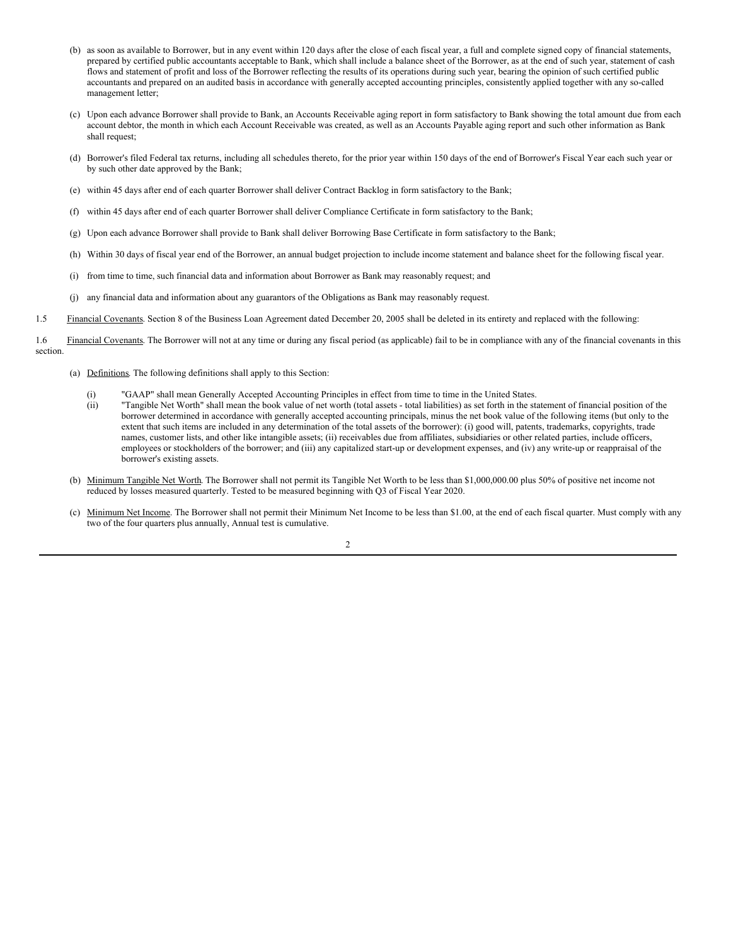- (b) as soon as available to Borrower, but in any event within 120 days after the close of each fiscal year, a full and complete signed copy of financial statements, prepared by certified public accountants acceptable to Bank, which shall include a balance sheet of the Borrower, as at the end of such year, statement of cash flows and statement of profit and loss of the Borrower reflecting the results of its operations during such year, bearing the opinion of such certified public accountants and prepared on an audited basis in accordance with generally accepted accounting principles, consistently applied together with any so-called management letter;
- (c) Upon each advance Borrower shall provide to Bank, an Accounts Receivable aging report in form satisfactory to Bank showing the total amount due from each account debtor, the month in which each Account Receivable was created, as well as an Accounts Payable aging report and such other information as Bank shall request;
- (d) Borrower's filed Federal tax returns, including all schedules thereto, for the prior year within 150 days of the end of Borrower's Fiscal Year each such year or by such other date approved by the Bank;
- (e) within 45 days after end of each quarter Borrower shall deliver Contract Backlog in form satisfactory to the Bank;
- (f) within 45 days after end of each quarter Borrower shall deliver Compliance Certificate in form satisfactory to the Bank;
- (g) Upon each advance Borrower shall provide to Bank shall deliver Borrowing Base Certificate in form satisfactory to the Bank;
- (h) Within 30 days of fiscal year end of the Borrower, an annual budget projection to include income statement and balance sheet for the following fiscal year.
- (i) from time to time, such financial data and information about Borrower as Bank may reasonably request; and
- (j) any financial data and information about any guarantors of the Obligations as Bank may reasonably request.
- 1.5 Financial Covenants. Section 8 of the Business Loan Agreement dated December 20, 2005 shall be deleted in its entirety and replaced with the following:
- 1.6 Financial Covenants. The Borrower will not at any time or during any fiscal period (as applicable) fail to be in compliance with any of the financial covenants in this section.
	- (a) Definitions. The following definitions shall apply to this Section:
		- (i) "GAAP" shall mean Generally Accepted Accounting Principles in effect from time to time in the United States.
		- (ii) "Tangible Net Worth" shall mean the book value of net worth (total assets total liabilities) as set forth in the statement of financial position of the borrower determined in accordance with generally accepted accounting principals, minus the net book value of the following items (but only to the extent that such items are included in any determination of the total assets of the borrower): (i) good will, patents, trademarks, copyrights, trade names, customer lists, and other like intangible assets; (ii) receivables due from affiliates, subsidiaries or other related parties, include officers, employees or stockholders of the borrower; and (iii) any capitalized start-up or development expenses, and (iv) any write-up or reappraisal of the borrower's existing assets.
	- (b) Minimum Tangible Net Worth. The Borrower shall not permit its Tangible Net Worth to be less than \$1,000,000.00 plus 50% of positive net income not reduced by losses measured quarterly. Tested to be measured beginning with Q3 of Fiscal Year 2020.
	- (c) Minimum Net Income. The Borrower shall not permit their Minimum Net Income to be less than \$1.00, at the end of each fiscal quarter. Must comply with any two of the four quarters plus annually, Annual test is cumulative.

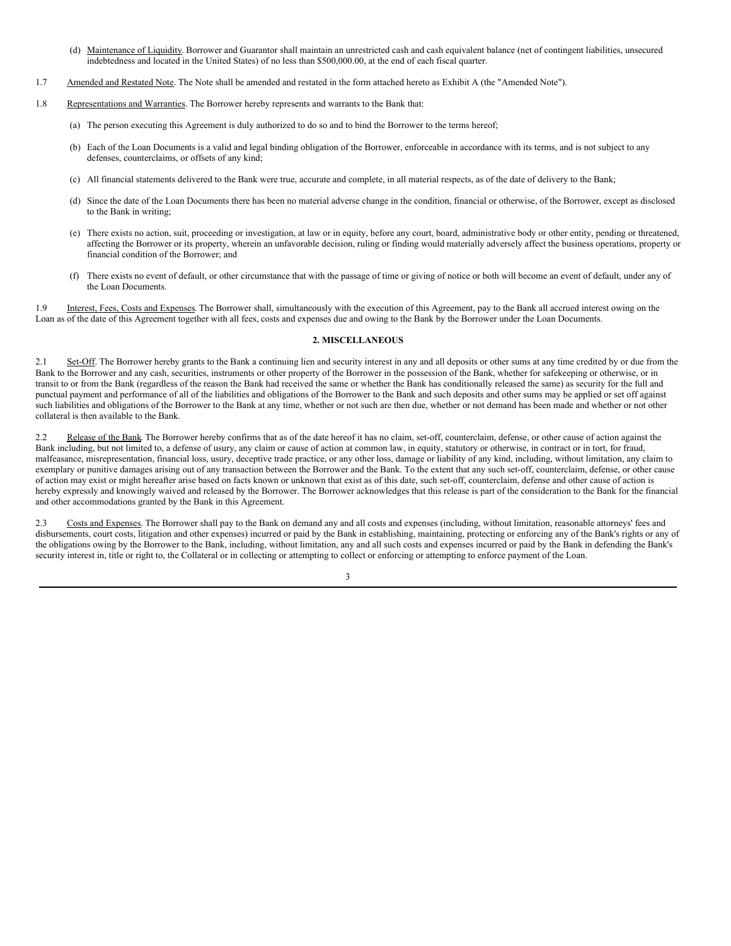- <span id="page-25-0"></span>(d) Maintenance of Liquidity. Borrower and Guarantor shall maintain an unrestricted cash and cash equivalent balance (net of contingent liabilities, unsecured indebtedness and located in the United States) of no less than \$500,000.00, at the end of each fiscal quarter.
- 1.7 Amended and Restated Note. The Note shall be amended and restated in the form attached hereto as Exhibit A (the "Amended Note").
- 1.8 Representations and Warranties. The Borrower hereby represents and warrants to the Bank that:
	- (a) The person executing this Agreement is duly authorized to do so and to bind the Borrower to the terms hereof;
	- (b) Each of the Loan Documents is a valid and legal binding obligation of the Borrower, enforceable in accordance with its terms, and is not subject to any defenses, counterclaims, or offsets of any kind;
	- (c) All financial statements delivered to the Bank were true, accurate and complete, in all material respects, as of the date of delivery to the Bank;
	- (d) Since the date of the Loan Documents there has been no material adverse change in the condition, financial or otherwise, of the Borrower, except as disclosed to the Bank in writing;
	- (e) There exists no action, suit, proceeding or investigation, at law or in equity, before any court, board, administrative body or other entity, pending or threatened, affecting the Borrower or its property, wherein an unfavorable decision, ruling or finding would materially adversely affect the business operations, property or financial condition of the Borrower; and
	- (f) There exists no event of default, or other circumstance that with the passage of time or giving of notice or both will become an event of default, under any of the Loan Documents.

1.9 Interest, Fees, Costs and Expenses. The Borrower shall, simultaneously with the execution of this Agreement, pay to the Bank all accrued interest owing on the Loan as of the date of this Agreement together with all fees, costs and expenses due and owing to the Bank by the Borrower under the Loan Documents.

# **2. MISCELLANEOUS**

2.1 Set-Off. The Borrower hereby grants to the Bank a continuing lien and security interest in any and all deposits or other sums at any time credited by or due from the Bank to the Borrower and any cash, securities, instruments or other property of the Borrower in the possession of the Bank, whether for safekeeping or otherwise, or in transit to or from the Bank (regardless of the reason the Bank had received the same or whether the Bank has conditionally released the same) as security for the full and punctual payment and performance of all of the liabilities and obligations of the Borrower to the Bank and such deposits and other sums may be applied or set off against such liabilities and obligations of the Borrower to the Bank at any time, whether or not such are then due, whether or not demand has been made and whether or not other collateral is then available to the Bank.

2.2 Release of the Bank. The Borrower hereby confirms that as of the date hereof it has no claim, set-off, counterclaim, defense, or other cause of action against the Bank including, but not limited to, a defense of usury, any claim or cause of action at common law, in equity, statutory or otherwise, in contract or in tort, for fraud, malfeasance, misrepresentation, financial loss, usury, deceptive trade practice, or any other loss, damage or liability of any kind, including, without limitation, any claim to exemplary or punitive damages arising out of any transaction between the Borrower and the Bank. To the extent that any such set-off, counterclaim, defense, or other cause of action may exist or might hereafter arise based on facts known or unknown that exist as of this date, such set-off, counterclaim, defense and other cause of action is hereby expressly and knowingly waived and released by the Borrower. The Borrower acknowledges that this release is part of the consideration to the Bank for the financial and other accommodations granted by the Bank in this Agreement.

2.3 Costs and Expenses. The Borrower shall pay to the Bank on demand any and all costs and expenses (including, without limitation, reasonable attorneys' fees and disbursements, court costs, litigation and other expenses) incurred or paid by the Bank in establishing, maintaining, protecting or enforcing any of the Bank's rights or any of the obligations owing by the Borrower to the Bank, including, without limitation, any and all such costs and expenses incurred or paid by the Bank in defending the Bank's security interest in, title or right to, the Collateral or in collecting or attempting to collect or enforcing or attempting to enforce payment of the Loan.

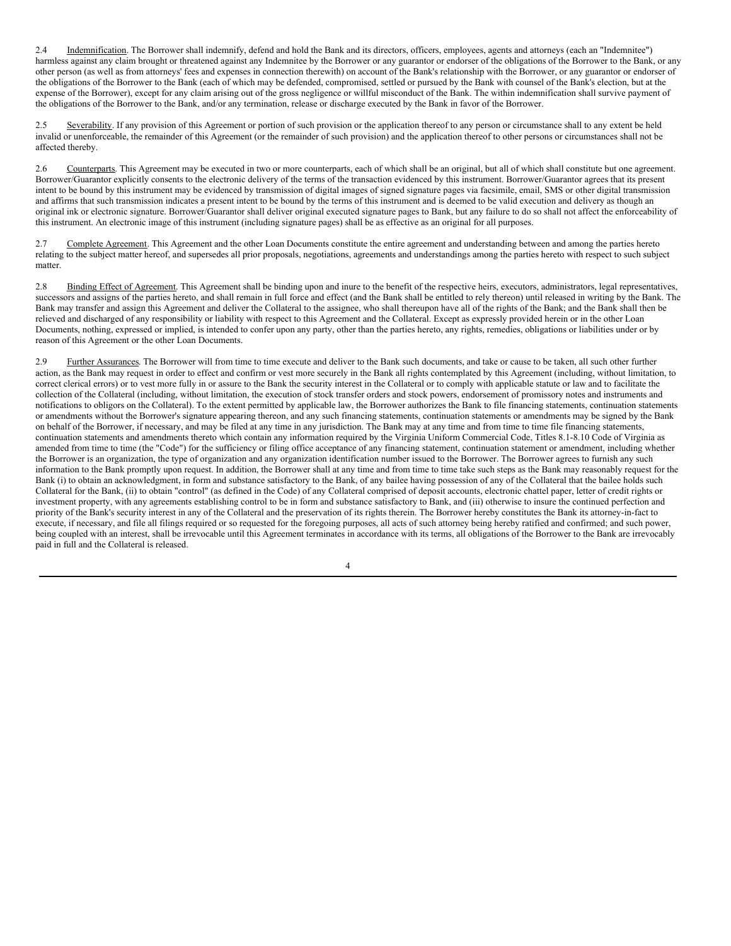2.4 Indemnification. The Borrower shall indemnify, defend and hold the Bank and its directors, officers, employees, agents and attorneys (each an "Indemnitee") harmless against any claim brought or threatened against any Indemnitee by the Borrower or any guarantor or endorser of the obligations of the Borrower to the Bank, or any other person (as well as from attorneys' fees and expenses in connection therewith) on account of the Bank's relationship with the Borrower, or any guarantor or endorser of the obligations of the Borrower to the Bank (each of which may be defended, compromised, settled or pursued by the Bank with counsel of the Bank's election, but at the expense of the Borrower), except for any claim arising out of the gross negligence or willful misconduct of the Bank. The within indemnification shall survive payment of the obligations of the Borrower to the Bank, and/or any termination, release or discharge executed by the Bank in favor of the Borrower.

Severability. If any provision of this Agreement or portion of such provision or the application thereof to any person or circumstance shall to any extent be held invalid or unenforceable, the remainder of this Agreement (or the remainder of such provision) and the application thereof to other persons or circumstances shall not be affected thereby.

2.6 Counterparts. This Agreement may be executed in two or more counterparts, each of which shall be an original, but all of which shall constitute but one agreement. Borrower/Guarantor explicitly consents to the electronic delivery of the terms of the transaction evidenced by this instrument. Borrower/Guarantor agrees that its present intent to be bound by this instrument may be evidenced by transmission of digital images of signed signature pages via facsimile, email, SMS or other digital transmission and affirms that such transmission indicates a present intent to be bound by the terms of this instrument and is deemed to be valid execution and delivery as though an original ink or electronic signature. Borrower/Guarantor shall deliver original executed signature pages to Bank, but any failure to do so shall not affect the enforceability of this instrument. An electronic image of this instrument (including signature pages) shall be as effective as an original for all purposes.

2.7 Complete Agreement. This Agreement and the other Loan Documents constitute the entire agreement and understanding between and among the parties hereto relating to the subject matter hereof, and supersedes all prior proposals, negotiations, agreements and understandings among the parties hereto with respect to such subject matter.

2.8 Binding Effect of Agreement. This Agreement shall be binding upon and inure to the benefit of the respective heirs, executors, administrators, legal representatives, successors and assigns of the parties hereto, and shall remain in full force and effect (and the Bank shall be entitled to rely thereon) until released in writing by the Bank. The Bank may transfer and assign this Agreement and deliver the Collateral to the assignee, who shall thereupon have all of the rights of the Bank; and the Bank shall then be relieved and discharged of any responsibility or liability with respect to this Agreement and the Collateral. Except as expressly provided herein or in the other Loan Documents, nothing, expressed or implied, is intended to confer upon any party, other than the parties hereto, any rights, remedies, obligations or liabilities under or by reason of this Agreement or the other Loan Documents.

2.9 Further Assurances. The Borrower will from time to time execute and deliver to the Bank such documents, and take or cause to be taken, all such other further action, as the Bank may request in order to effect and confirm or vest more securely in the Bank all rights contemplated by this Agreement (including, without limitation, to correct clerical errors) or to vest more fully in or assure to the Bank the security interest in the Collateral or to comply with applicable statute or law and to facilitate the collection of the Collateral (including, without limitation, the execution of stock transfer orders and stock powers, endorsement of promissory notes and instruments and notifications to obligors on the Collateral). To the extent permitted by applicable law, the Borrower authorizes the Bank to file financing statements, continuation statements or amendments without the Borrower's signature appearing thereon, and any such financing statements, continuation statements or amendments may be signed by the Bank on behalf of the Borrower, if necessary, and may be filed at any time in any jurisdiction. The Bank may at any time and from time to time file financing statements, continuation statements and amendments thereto which contain any information required by the Virginia Uniform Commercial Code, Titles 8.1-8.10 Code of Virginia as amended from time to time (the "Code") for the sufficiency or filing office acceptance of any financing statement, continuation statement or amendment, including whether the Borrower is an organization, the type of organization and any organization identification number issued to the Borrower. The Borrower agrees to furnish any such information to the Bank promptly upon request. In addition, the Borrower shall at any time and from time to time take such steps as the Bank may reasonably request for the Bank (i) to obtain an acknowledgment, in form and substance satisfactory to the Bank, of any bailee having possession of any of the Collateral that the bailee holds such Collateral for the Bank, (ii) to obtain "control" (as defined in the Code) of any Collateral comprised of deposit accounts, electronic chattel paper, letter of credit rights or investment property, with any agreements establishing control to be in form and substance satisfactory to Bank, and (iii) otherwise to insure the continued perfection and priority of the Bank's security interest in any of the Collateral and the preservation of its rights therein. The Borrower hereby constitutes the Bank its attorney-in-fact to execute, if necessary, and file all filings required or so requested for the foregoing purposes, all acts of such attorney being hereby ratified and confirmed; and such power, being coupled with an interest, shall be irrevocable until this Agreement terminates in accordance with its terms, all obligations of the Borrower to the Bank are irrevocably paid in full and the Collateral is released.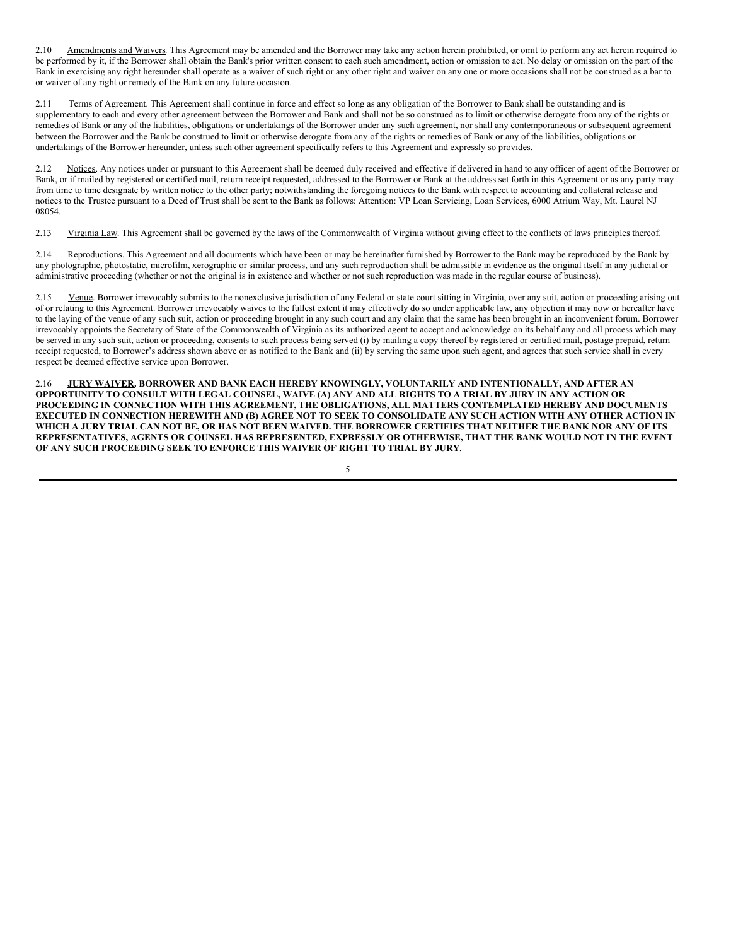2.10 Amendments and Waivers. This Agreement may be amended and the Borrower may take any action herein prohibited, or omit to perform any act herein required to be performed by it, if the Borrower shall obtain the Bank's prior written consent to each such amendment, action or omission to act. No delay or omission on the part of the Bank in exercising any right hereunder shall operate as a waiver of such right or any other right and waiver on any one or more occasions shall not be construed as a bar to or waiver of any right or remedy of the Bank on any future occasion.

Terms of Agreement. This Agreement shall continue in force and effect so long as any obligation of the Borrower to Bank shall be outstanding and is supplementary to each and every other agreement between the Borrower and Bank and shall not be so construed as to limit or otherwise derogate from any of the rights or remedies of Bank or any of the liabilities, obligations or undertakings of the Borrower under any such agreement, nor shall any contemporaneous or subsequent agreement between the Borrower and the Bank be construed to limit or otherwise derogate from any of the rights or remedies of Bank or any of the liabilities, obligations or undertakings of the Borrower hereunder, unless such other agreement specifically refers to this Agreement and expressly so provides.

2.12 Notices. Any notices under or pursuant to this Agreement shall be deemed duly received and effective if delivered in hand to any officer of agent of the Borrower or Bank, or if mailed by registered or certified mail, return receipt requested, addressed to the Borrower or Bank at the address set forth in this Agreement or as any party may from time to time designate by written notice to the other party; notwithstanding the foregoing notices to the Bank with respect to accounting and collateral release and notices to the Trustee pursuant to a Deed of Trust shall be sent to the Bank as follows: Attention: VP Loan Servicing, Loan Services, 6000 Atrium Way, Mt. Laurel NJ 08054.

2.13 Virginia Law. This Agreement shall be governed by the laws of the Commonwealth of Virginia without giving effect to the conflicts of laws principles thereof.

2.14 Reproductions. This Agreement and all documents which have been or may be hereinafter furnished by Borrower to the Bank may be reproduced by the Bank by any photographic, photostatic, microfilm, xerographic or similar process, and any such reproduction shall be admissible in evidence as the original itself in any judicial or administrative proceeding (whether or not the original is in existence and whether or not such reproduction was made in the regular course of business).

2.15 Venue. Borrower irrevocably submits to the nonexclusive jurisdiction of any Federal or state court sitting in Virginia, over any suit, action or proceeding arising out of or relating to this Agreement. Borrower irrevocably waives to the fullest extent it may effectively do so under applicable law, any objection it may now or hereafter have to the laying of the venue of any such suit, action or proceeding brought in any such court and any claim that the same has been brought in an inconvenient forum. Borrower irrevocably appoints the Secretary of State of the Commonwealth of Virginia as its authorized agent to accept and acknowledge on its behalf any and all process which may be served in any such suit, action or proceeding, consents to such process being served (i) by mailing a copy thereof by registered or certified mail, postage prepaid, return receipt requested, to Borrower's address shown above or as notified to the Bank and (ii) by serving the same upon such agent, and agrees that such service shall in every respect be deemed effective service upon Borrower.

2.16 **JURY WAIVER. BORROWER AND BANK EACH HEREBY KNOWINGLY, VOLUNTARILY AND INTENTIONALLY, AND AFTER AN** OPPORTUNITY TO CONSULT WITH LEGAL COUNSEL, WAIVE (A) ANY AND ALL RIGHTS TO A TRIAL BY JURY IN ANY ACTION OR **PROCEEDING IN CONNECTION WITH THIS AGREEMENT, THE OBLIGATIONS, ALL MATTERS CONTEMPLATED HEREBY AND DOCUMENTS** EXECUTED IN CONNECTION HEREWITH AND (B) AGREE NOT TO SEEK TO CONSOLIDATE ANY SUCH ACTION WITH ANY OTHER ACTION IN WHICH A JURY TRIAL CAN NOT BE, OR HAS NOT BEEN WAIVED. THE BORROWER CERTIFIES THAT NEITHER THE BANK NOR ANY OF ITS REPRESENTATIVES, AGENTS OR COUNSEL HAS REPRESENTED, EXPRESSLY OR OTHERWISE, THAT THE BANK WOULD NOT IN THE EVENT **OF ANY SUCH PROCEEDING SEEK TO ENFORCE THIS WAIVER OF RIGHT TO TRIAL BY JURY**.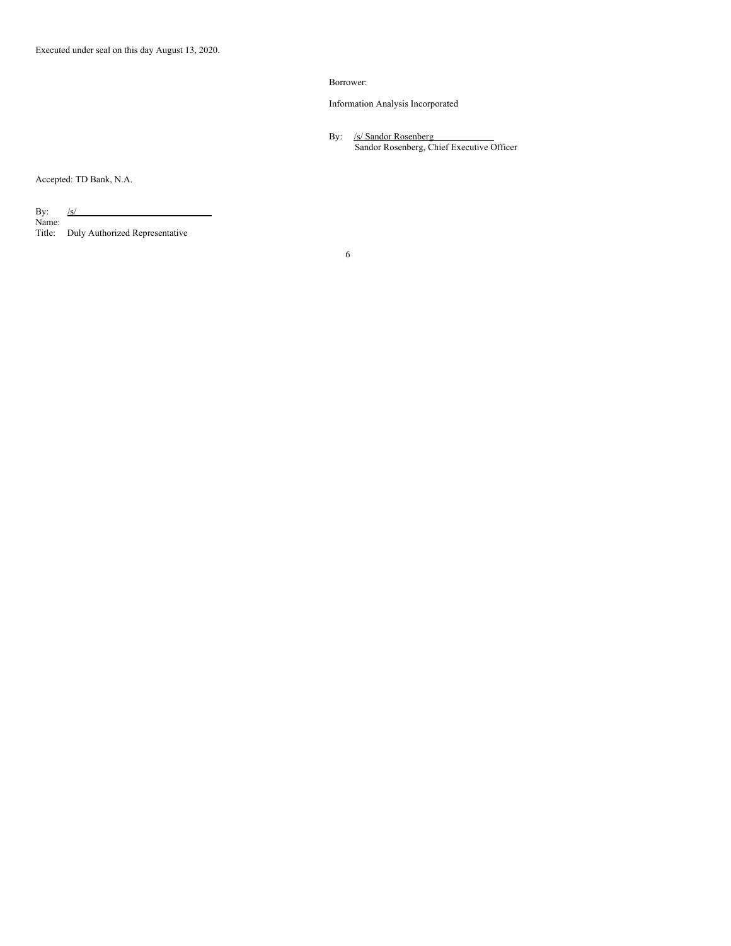## Borrower:

Information Analysis Incorporated

By: /s/ Sandor Rosenberg Sandor Rosenberg, Chief Executive Officer

Accepted: TD Bank, N.A.

By: <u>/s/</u> Name: Title: Duly Authorized Representative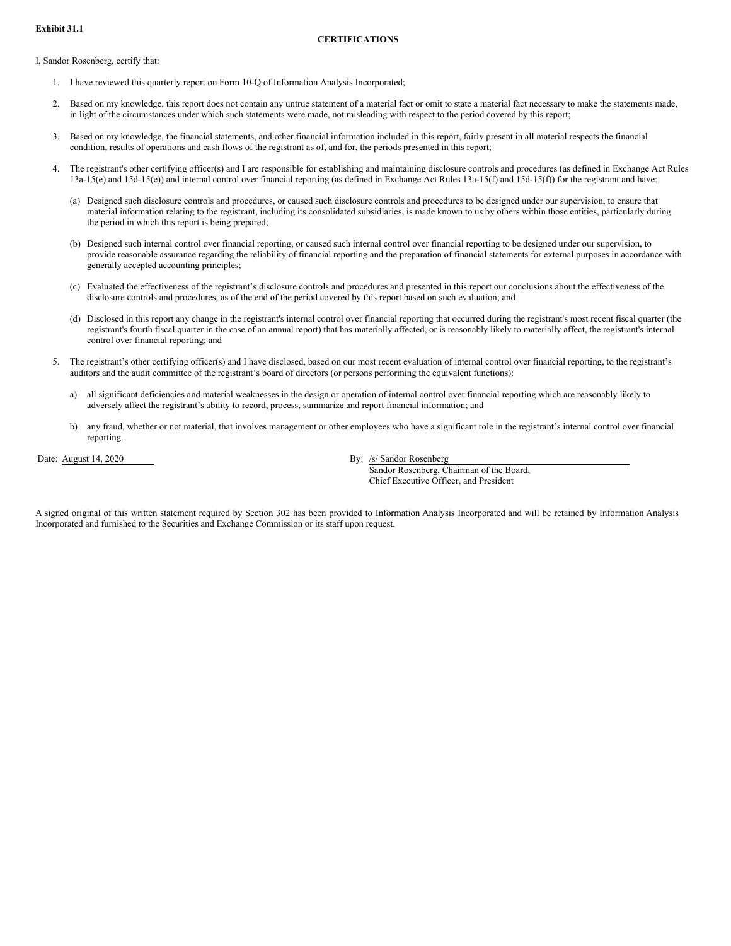#### **CERTIFICATIONS**

<span id="page-29-0"></span>I, Sandor Rosenberg, certify that:

- 1. I have reviewed this quarterly report on Form 10-Q of Information Analysis Incorporated;
- 2. Based on my knowledge, this report does not contain any untrue statement of a material fact or omit to state a material fact necessary to make the statements made, in light of the circumstances under which such statements were made, not misleading with respect to the period covered by this report;
- 3. Based on my knowledge, the financial statements, and other financial information included in this report, fairly present in all material respects the financial condition, results of operations and cash flows of the registrant as of, and for, the periods presented in this report;
- 4. The registrant's other certifying officer(s) and I are responsible for establishing and maintaining disclosure controls and procedures (as defined in Exchange Act Rules  $13a-15(e)$  and  $15d-15(e)$ ) and internal control over financial reporting (as defined in Exchange Act Rules  $13a-15(f)$  and  $15d-15(f)$ ) for the registrant and have:
	- (a) Designed such disclosure controls and procedures, or caused such disclosure controls and procedures to be designed under our supervision, to ensure that material information relating to the registrant, including its consolidated subsidiaries, is made known to us by others within those entities, particularly during the period in which this report is being prepared;
	- (b) Designed such internal control over financial reporting, or caused such internal control over financial reporting to be designed under our supervision, to provide reasonable assurance regarding the reliability of financial reporting and the preparation of financial statements for external purposes in accordance with generally accepted accounting principles;
	- (c) Evaluated the effectiveness of the registrant's disclosure controls and procedures and presented in this report our conclusions about the effectiveness of the disclosure controls and procedures, as of the end of the period covered by this report based on such evaluation; and
	- (d) Disclosed in this report any change in the registrant's internal control over financial reporting that occurred during the registrant's most recent fiscal quarter (the registrant's fourth fiscal quarter in the case of an annual report) that has materially affected, or is reasonably likely to materially affect, the registrant's internal control over financial reporting; and
- 5. The registrant's other certifying officer(s) and I have disclosed, based on our most recent evaluation of internal control over financial reporting, to the registrant's auditors and the audit committee of the registrant's board of directors (or persons performing the equivalent functions):
	- a) all significant deficiencies and material weaknesses in the design or operation of internal control over financial reporting which are reasonably likely to adversely affect the registrant's ability to record, process, summarize and report financial information; and
	- b) any fraud, whether or not material, that involves management or other employees who have a significant role in the registrant's internal control over financial reporting.

Date: August 14, 2020 By: /s/ Sandor Rosenberg

Sandor Rosenberg, Chairman of the Board, Chief Executive Officer, and President

A signed original of this written statement required by Section 302 has been provided to Information Analysis Incorporated and will be retained by Information Analysis Incorporated and furnished to the Securities and Exchange Commission or its staff upon request.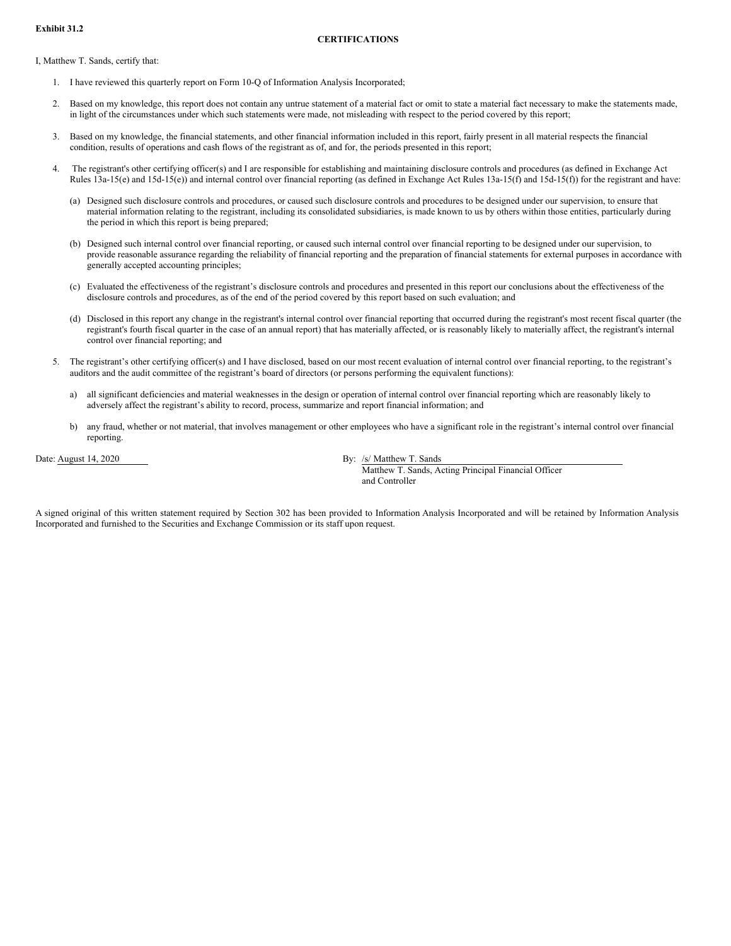#### **CERTIFICATIONS**

<span id="page-30-0"></span>I, Matthew T. Sands, certify that:

- 1. I have reviewed this quarterly report on Form 10-Q of Information Analysis Incorporated;
- 2. Based on my knowledge, this report does not contain any untrue statement of a material fact or omit to state a material fact necessary to make the statements made, in light of the circumstances under which such statements were made, not misleading with respect to the period covered by this report;
- 3. Based on my knowledge, the financial statements, and other financial information included in this report, fairly present in all material respects the financial condition, results of operations and cash flows of the registrant as of, and for, the periods presented in this report;
- 4. The registrant's other certifying officer(s) and I are responsible for establishing and maintaining disclosure controls and procedures (as defined in Exchange Act Rules 13a-15(e) and 15d-15(e)) and internal control over financial reporting (as defined in Exchange Act Rules 13a-15(f) and 15d-15(f)) for the registrant and have:
	- (a) Designed such disclosure controls and procedures, or caused such disclosure controls and procedures to be designed under our supervision, to ensure that material information relating to the registrant, including its consolidated subsidiaries, is made known to us by others within those entities, particularly during the period in which this report is being prepared;
	- (b) Designed such internal control over financial reporting, or caused such internal control over financial reporting to be designed under our supervision, to provide reasonable assurance regarding the reliability of financial reporting and the preparation of financial statements for external purposes in accordance with generally accepted accounting principles;
	- (c) Evaluated the effectiveness of the registrant's disclosure controls and procedures and presented in this report our conclusions about the effectiveness of the disclosure controls and procedures, as of the end of the period covered by this report based on such evaluation; and
	- (d) Disclosed in this report any change in the registrant's internal control over financial reporting that occurred during the registrant's most recent fiscal quarter (the registrant's fourth fiscal quarter in the case of an annual report) that has materially affected, or is reasonably likely to materially affect, the registrant's internal control over financial reporting; and
- 5. The registrant's other certifying officer(s) and I have disclosed, based on our most recent evaluation of internal control over financial reporting, to the registrant's auditors and the audit committee of the registrant's board of directors (or persons performing the equivalent functions):
	- a) all significant deficiencies and material weaknesses in the design or operation of internal control over financial reporting which are reasonably likely to adversely affect the registrant's ability to record, process, summarize and report financial information; and
	- b) any fraud, whether or not material, that involves management or other employees who have a significant role in the registrant's internal control over financial reporting.

Date: August 14, 2020 By: /s/ Matthew T. Sands Matthew T. Sands, Acting Principal Financial Officer and Controller

A signed original of this written statement required by Section 302 has been provided to Information Analysis Incorporated and will be retained by Information Analysis Incorporated and furnished to the Securities and Exchange Commission or its staff upon request.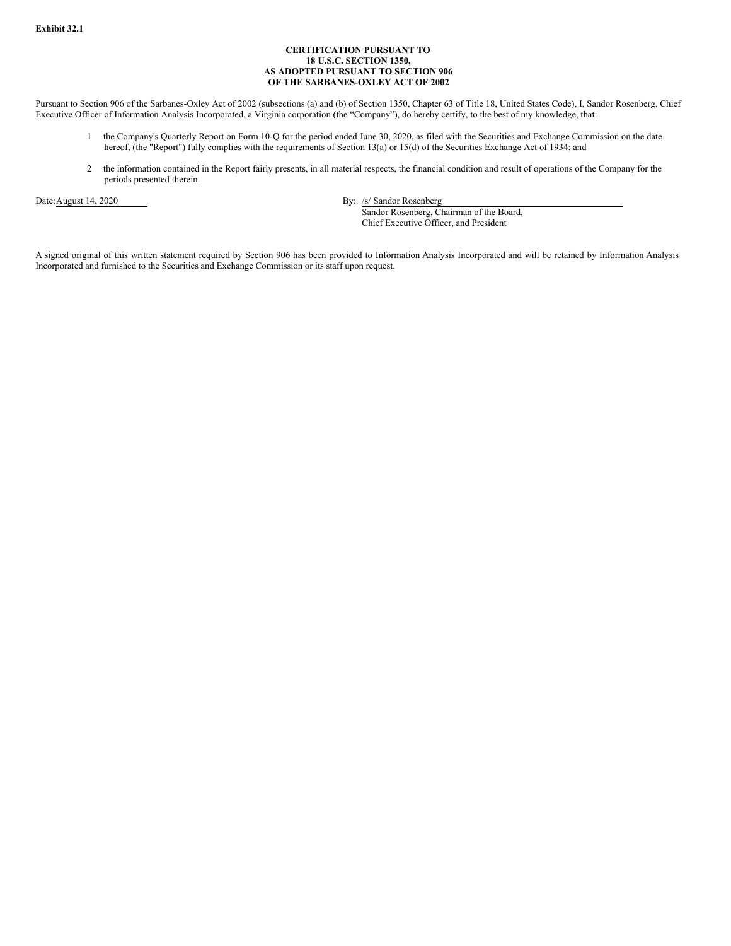## **CERTIFICATION PURSUANT TO 18 U.S.C. SECTION 1350, AS ADOPTED PURSUANT TO SECTION 906 OF THE SARBANES-OXLEY ACT OF 2002**

<span id="page-31-0"></span>Pursuant to Section 906 of the Sarbanes-Oxley Act of 2002 (subsections (a) and (b) of Section 1350, Chapter 63 of Title 18, United States Code), I, Sandor Rosenberg, Chief Executive Officer of Information Analysis Incorporated, a Virginia corporation (the "Company"), do hereby certify, to the best of my knowledge, that:

- 1 the Company's Quarterly Report on Form 10-Q for the period ended June 30, 2020, as filed with the Securities and Exchange Commission on the date hereof, (the "Report") fully complies with the requirements of Section 13(a) or 15(d) of the Securities Exchange Act of 1934; and
- 2 the information contained in the Report fairly presents, in all material respects, the financial condition and result of operations of the Company for the periods presented therein.

Date:August 14, 2020 By: /s/ Sandor Rosenberg

Sandor Rosenberg, Chairman of the Board, Chief Executive Officer, and President

A signed original of this written statement required by Section 906 has been provided to Information Analysis Incorporated and will be retained by Information Analysis Incorporated and furnished to the Securities and Exchange Commission or its staff upon request.